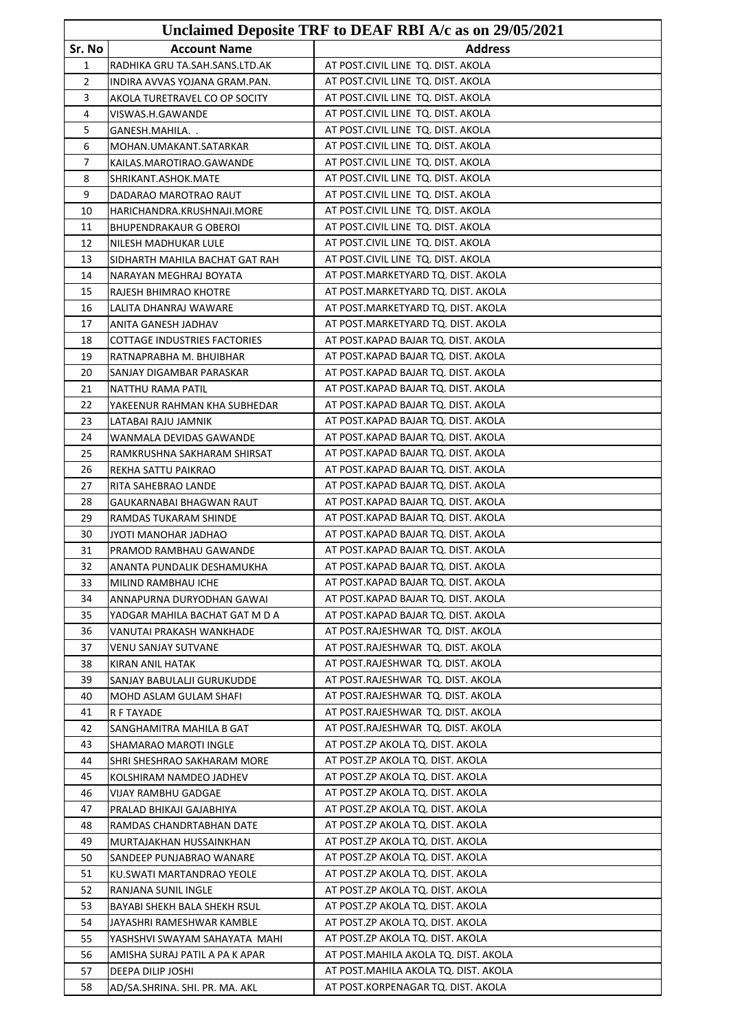| Unclaimed Deposite TRF to DEAF RBI A/c as on 29/05/2021 |                                         |                                                                            |
|---------------------------------------------------------|-----------------------------------------|----------------------------------------------------------------------------|
| Sr. No                                                  | <b>Account Name</b>                     | <b>Address</b>                                                             |
| 1                                                       | RADHIKA GRU TA.SAH.SANS.LTD.AK          | AT POST.CIVIL LINE TQ. DIST. AKOLA                                         |
| 2                                                       | INDIRA AVVAS YOJANA GRAM.PAN.           | AT POST.CIVIL LINE TQ. DIST. AKOLA                                         |
| 3                                                       | AKOLA TURETRAVEL CO OP SOCITY           | AT POST.CIVIL LINE TQ. DIST. AKOLA                                         |
| 4                                                       | VISWAS.H.GAWANDE                        | AT POST.CIVIL LINE TQ. DIST. AKOLA                                         |
| 5                                                       | GANESH.MAHILA. .                        | AT POST.CIVIL LINE TQ. DIST. AKOLA                                         |
| 6                                                       | MOHAN.UMAKANT.SATARKAR                  | AT POST.CIVIL LINE TQ. DIST. AKOLA                                         |
| 7                                                       | KAILAS.MAROTIRAO.GAWANDE                | AT POST.CIVIL LINE TQ. DIST. AKOLA                                         |
| 8                                                       | SHRIKANT.ASHOK.MATE                     | AT POST.CIVIL LINE TQ. DIST. AKOLA                                         |
| 9                                                       | DADARAO MAROTRAO RAUT                   | AT POST.CIVIL LINE TQ. DIST. AKOLA                                         |
| 10                                                      | HARICHANDRA.KRUSHNAJI.MORE              | AT POST.CIVIL LINE TQ. DIST. AKOLA                                         |
| 11                                                      | BHUPENDRAKAUR G OBEROI                  | AT POST.CIVIL LINE TQ. DIST. AKOLA                                         |
| 12                                                      | NILESH MADHUKAR LULE                    | AT POST.CIVIL LINE TQ. DIST. AKOLA                                         |
| 13                                                      | SIDHARTH MAHILA BACHAT GAT RAH          | AT POST.CIVIL LINE TQ. DIST. AKOLA                                         |
| 14                                                      | NARAYAN MEGHRAJ BOYATA                  | AT POST. MARKETYARD TQ. DIST. AKOLA                                        |
| 15                                                      | RAJESH BHIMRAO KHOTRE                   | AT POST.MARKETYARD TQ. DIST. AKOLA                                         |
| 16                                                      | LALITA DHANRAJ WAWARE                   | AT POST.MARKETYARD TQ. DIST. AKOLA                                         |
| 17                                                      | ANITA GANESH JADHAV                     | AT POST.MARKETYARD TQ. DIST. AKOLA                                         |
| 18                                                      | <b>COTTAGE INDUSTRIES FACTORIES</b>     | AT POST.KAPAD BAJAR TQ. DIST. AKOLA                                        |
| 19                                                      | RATNAPRABHA M. BHUIBHAR                 | AT POST.KAPAD BAJAR TQ. DIST. AKOLA                                        |
| 20                                                      | SANJAY DIGAMBAR PARASKAR                | AT POST.KAPAD BAJAR TQ. DIST. AKOLA                                        |
| 21                                                      | NATTHU RAMA PATIL                       | AT POST.KAPAD BAJAR TQ. DIST. AKOLA                                        |
| 22                                                      | YAKEENUR RAHMAN KHA SUBHEDAR            | AT POST.KAPAD BAJAR TQ. DIST. AKOLA                                        |
| 23                                                      | LATABAI RAJU JAMNIK                     | AT POST.KAPAD BAJAR TQ. DIST. AKOLA                                        |
| 24                                                      | WANMALA DEVIDAS GAWANDE                 | AT POST.KAPAD BAJAR TQ. DIST. AKOLA                                        |
| 25                                                      | RAMKRUSHNA SAKHARAM SHIRSAT             | AT POST.KAPAD BAJAR TQ. DIST. AKOLA                                        |
| 26                                                      | REKHA SATTU PAIKRAO                     | AT POST.KAPAD BAJAR TQ. DIST. AKOLA                                        |
| 27                                                      | RITA SAHEBRAO LANDE                     | AT POST.KAPAD BAJAR TQ. DIST. AKOLA                                        |
| 28                                                      | GAUKARNABAI BHAGWAN RAUT                | AT POST.KAPAD BAJAR TQ. DIST. AKOLA                                        |
| 29                                                      | RAMDAS TUKARAM SHINDE                   | AT POST.KAPAD BAJAR TQ. DIST. AKOLA                                        |
| 30                                                      | JYOTI MANOHAR JADHAO                    | AT POST.KAPAD BAJAR TQ. DIST. AKOLA                                        |
| 31                                                      | PRAMOD RAMBHAU GAWANDE                  | AT POST.KAPAD BAJAR TQ. DIST. AKOLA                                        |
| 32                                                      | ANANTA PUNDALIK DESHAMUKHA              | AT POST.KAPAD BAJAR TQ. DIST. AKOLA                                        |
| 33                                                      | MILIND RAMBHAU ICHE                     | AT POST.KAPAD BAJAR TO. DIST. AKOLA                                        |
| 34                                                      | ANNAPURNA DURYODHAN GAWAI               | AT POST.KAPAD BAJAR TQ. DIST. AKOLA<br>AT POST.KAPAD BAJAR TQ. DIST. AKOLA |
| 35                                                      | YADGAR MAHILA BACHAT GAT M D A          |                                                                            |
| 36<br>37                                                | VANUTAI PRAKASH WANKHADE                | AT POST.RAJESHWAR TQ. DIST. AKOLA<br>AT POST.RAJESHWAR TQ. DIST. AKOLA     |
| 38                                                      | VENU SANJAY SUTVANE<br>KIRAN ANIL HATAK | AT POST.RAJESHWAR TQ. DIST. AKOLA                                          |
| 39                                                      | SANJAY BABULALJI GURUKUDDE              | AT POST.RAJESHWAR TQ. DIST. AKOLA                                          |
| 40                                                      | MOHD ASLAM GULAM SHAFI                  | AT POST.RAJESHWAR TQ. DIST. AKOLA                                          |
| 41                                                      | R F TAYADE                              | AT POST.RAJESHWAR TQ. DIST. AKOLA                                          |
| 42                                                      | SANGHAMITRA MAHILA B GAT                | AT POST.RAJESHWAR TQ. DIST. AKOLA                                          |
| 43                                                      | SHAMARAO MAROTI INGLE                   | AT POST.ZP AKOLA TQ. DIST. AKOLA                                           |
| 44                                                      | SHRI SHESHRAO SAKHARAM MORE             | AT POST.ZP AKOLA TQ. DIST. AKOLA                                           |
| 45                                                      | KOLSHIRAM NAMDEO JADHEV                 | AT POST.ZP AKOLA TQ. DIST. AKOLA                                           |
| 46                                                      | VIJAY RAMBHU GADGAE                     | AT POST.ZP AKOLA TQ. DIST. AKOLA                                           |
| 47                                                      | PRALAD BHIKAJI GAJABHIYA                | AT POST.ZP AKOLA TQ. DIST. AKOLA                                           |
| 48                                                      | RAMDAS CHANDRTABHAN DATE                | AT POST.ZP AKOLA TQ. DIST. AKOLA                                           |
| 49                                                      | MURTAJAKHAN HUSSAINKHAN                 | AT POST.ZP AKOLA TQ. DIST. AKOLA                                           |
| 50                                                      | SANDEEP PUNJABRAO WANARE                | AT POST.ZP AKOLA TQ. DIST. AKOLA                                           |
| 51                                                      | KU.SWATI MARTANDRAO YEOLE               | AT POST.ZP AKOLA TQ. DIST. AKOLA                                           |
| 52                                                      | RANJANA SUNIL INGLE                     | AT POST.ZP AKOLA TQ. DIST. AKOLA                                           |
| 53                                                      | BAYABI SHEKH BALA SHEKH RSUL            | AT POST.ZP AKOLA TQ. DIST. AKOLA                                           |
| 54                                                      | JAYASHRI RAMESHWAR KAMBLE               | AT POST.ZP AKOLA TQ. DIST. AKOLA                                           |
| 55                                                      | YASHSHVI SWAYAM SAHAYATA MAHI           | AT POST.ZP AKOLA TQ. DIST. AKOLA                                           |
| 56                                                      | AMISHA SURAJ PATIL A PA K APAR          | AT POST.MAHILA AKOLA TQ. DIST. AKOLA                                       |
| 57                                                      | DEEPA DILIP JOSHI                       | AT POST. MAHILA AKOLA TQ. DIST. AKOLA                                      |
| 58                                                      | AD/SA.SHRINA. SHI. PR. MA. AKL          | AT POST.KORPENAGAR TQ. DIST. AKOLA                                         |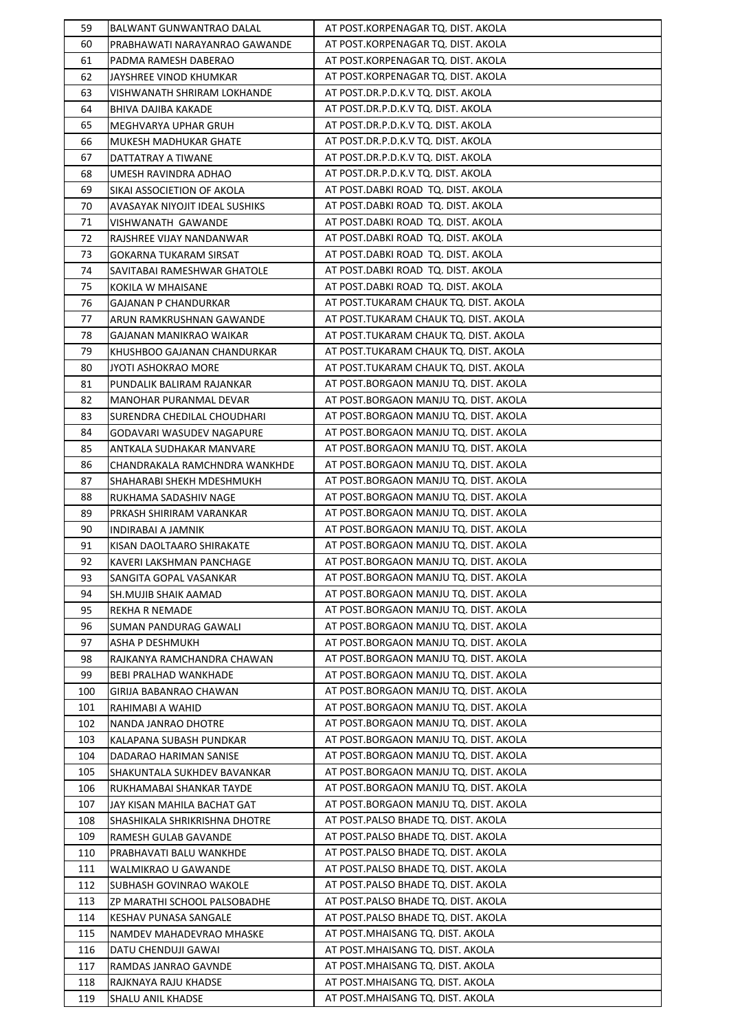| 59  | BALWANT GUNWANTRAO DALAL       | AT POST.KORPENAGAR TQ. DIST. AKOLA    |
|-----|--------------------------------|---------------------------------------|
| 60  | PRABHAWATI NARAYANRAO GAWANDE  | AT POST.KORPENAGAR TQ. DIST. AKOLA    |
| 61  | PADMA RAMESH DABERAO           | AT POST.KORPENAGAR TQ. DIST. AKOLA    |
| 62  | JAYSHREE VINOD KHUMKAR         | AT POST.KORPENAGAR TQ. DIST. AKOLA    |
| 63  | VISHWANATH SHRIRAM LOKHANDE    | AT POST.DR.P.D.K.V TQ. DIST. AKOLA    |
| 64  | BHIVA DAJIBA KAKADE            | AT POST.DR.P.D.K.V TQ. DIST. AKOLA    |
| 65  | MEGHVARYA UPHAR GRUH           | AT POST.DR.P.D.K.V TQ. DIST. AKOLA    |
| 66  | MUKESH MADHUKAR GHATE          | AT POST.DR.P.D.K.V TQ. DIST. AKOLA    |
| 67  | DATTATRAY A TIWANE             | AT POST.DR.P.D.K.V TQ. DIST. AKOLA    |
| 68  | UMESH RAVINDRA ADHAO           | AT POST.DR.P.D.K.V TQ. DIST. AKOLA    |
| 69  | SIKAI ASSOCIETION OF AKOLA     | AT POST.DABKI ROAD TQ. DIST. AKOLA    |
| 70  | AVASAYAK NIYOJIT IDEAL SUSHIKS | AT POST.DABKI ROAD TQ. DIST. AKOLA    |
| 71  | VISHWANATH GAWANDE             | AT POST.DABKI ROAD TQ. DIST. AKOLA    |
| 72  | RAJSHREE VIJAY NANDANWAR       | AT POST.DABKI ROAD TQ. DIST. AKOLA    |
| 73  | GOKARNA TUKARAM SIRSAT         | AT POST.DABKI ROAD TQ. DIST. AKOLA    |
| 74  | SAVITABAI RAMESHWAR GHATOLE    | AT POST.DABKI ROAD TQ. DIST. AKOLA    |
| 75  | KOKILA W MHAISANE              | AT POST.DABKI ROAD TQ. DIST. AKOLA    |
| 76  | GAJANAN P CHANDURKAR           | AT POST.TUKARAM CHAUK TQ. DIST. AKOLA |
| 77  | ARUN RAMKRUSHNAN GAWANDE       | AT POST.TUKARAM CHAUK TQ. DIST. AKOLA |
| 78  | GAJANAN MANIKRAO WAIKAR        | AT POST.TUKARAM CHAUK TQ. DIST. AKOLA |
| 79  | KHUSHBOO GAJANAN CHANDURKAR    | AT POST.TUKARAM CHAUK TQ. DIST. AKOLA |
| 80  | JYOTI ASHOKRAO MORE            | AT POST.TUKARAM CHAUK TQ. DIST. AKOLA |
| 81  | PUNDALIK BALIRAM RAJANKAR      | AT POST.BORGAON MANJU TQ. DIST. AKOLA |
| 82  | MANOHAR PURANMAL DEVAR         | AT POST.BORGAON MANJU TQ. DIST. AKOLA |
| 83  | SURENDRA CHEDILAL CHOUDHARI    | AT POST.BORGAON MANJU TQ. DIST. AKOLA |
| 84  | GODAVARI WASUDEV NAGAPURE      | AT POST.BORGAON MANJU TQ. DIST. AKOLA |
| 85  | ANTKALA SUDHAKAR MANVARE       | AT POST.BORGAON MANJU TQ. DIST. AKOLA |
| 86  | CHANDRAKALA RAMCHNDRA WANKHDE  | AT POST.BORGAON MANJU TQ. DIST. AKOLA |
| 87  | SHAHARABI SHEKH MDESHMUKH      | AT POST.BORGAON MANJU TQ. DIST. AKOLA |
| 88  | RUKHAMA SADASHIV NAGE          | AT POST.BORGAON MANJU TQ. DIST. AKOLA |
| 89  | PRKASH SHIRIRAM VARANKAR       | AT POST.BORGAON MANJU TQ. DIST. AKOLA |
| 90  | INDIRABAI A JAMNIK             | AT POST.BORGAON MANJU TQ. DIST. AKOLA |
| 91  | KISAN DAOLTAARO SHIRAKATE      | AT POST.BORGAON MANJU TQ. DIST. AKOLA |
| 92  | KAVERI LAKSHMAN PANCHAGE       | AT POST.BORGAON MANJU TQ. DIST. AKOLA |
| 93  | SANGITA GOPAL VASANKAR         | AT POST.BORGAON MANJU TQ. DIST. AKOLA |
| 94  | SH.MUJIB SHAIK AAMAD           | AT POST.BORGAON MANJU TQ. DIST. AKOLA |
| 95  | <b>REKHA R NEMADE</b>          | AT POST.BORGAON MANJU TQ. DIST. AKOLA |
| 96  | <b>SUMAN PANDURAG GAWALI</b>   | AT POST.BORGAON MANJU TQ. DIST. AKOLA |
| 97  | ASHA P DESHMUKH                | AT POST.BORGAON MANJU TQ. DIST. AKOLA |
| 98  | RAJKANYA RAMCHANDRA CHAWAN     | AT POST.BORGAON MANJU TQ. DIST. AKOLA |
| 99  | BEBI PRALHAD WANKHADE          | AT POST.BORGAON MANJU TQ. DIST. AKOLA |
| 100 | GIRIJA BABANRAO CHAWAN         | AT POST.BORGAON MANJU TQ. DIST. AKOLA |
| 101 | RAHIMABI A WAHID               | AT POST.BORGAON MANJU TQ. DIST. AKOLA |
| 102 | NANDA JANRAO DHOTRE            | AT POST.BORGAON MANJU TQ. DIST. AKOLA |
| 103 | KALAPANA SUBASH PUNDKAR        | AT POST.BORGAON MANJU TQ. DIST. AKOLA |
| 104 | DADARAO HARIMAN SANISE         | AT POST.BORGAON MANJU TQ. DIST. AKOLA |
| 105 | SHAKUNTALA SUKHDEV BAVANKAR    | AT POST.BORGAON MANJU TQ. DIST. AKOLA |
| 106 | RUKHAMABAI SHANKAR TAYDE       | AT POST.BORGAON MANJU TQ. DIST. AKOLA |
| 107 | JAY KISAN MAHILA BACHAT GAT    | AT POST.BORGAON MANJU TQ. DIST. AKOLA |
| 108 | SHASHIKALA SHRIKRISHNA DHOTRE  | AT POST.PALSO BHADE TQ. DIST. AKOLA   |
| 109 | RAMESH GULAB GAVANDE           | AT POST.PALSO BHADE TQ. DIST. AKOLA   |
| 110 | PRABHAVATI BALU WANKHDE        | AT POST.PALSO BHADE TQ. DIST. AKOLA   |
| 111 | WALMIKRAO U GAWANDE            | AT POST.PALSO BHADE TQ. DIST. AKOLA   |
| 112 | SUBHASH GOVINRAO WAKOLE        | AT POST.PALSO BHADE TQ. DIST. AKOLA   |
| 113 | ZP MARATHI SCHOOL PALSOBADHE   | AT POST.PALSO BHADE TQ. DIST. AKOLA   |
| 114 | KESHAV PUNASA SANGALE          | AT POST.PALSO BHADE TQ. DIST. AKOLA   |
| 115 | NAMDEV MAHADEVRAO MHASKE       | AT POST. MHAISANG TQ. DIST. AKOLA     |
| 116 | DATU CHENDUJI GAWAI            | AT POST. MHAISANG TQ. DIST. AKOLA     |
| 117 | RAMDAS JANRAO GAVNDE           | AT POST.MHAISANG TQ. DIST. AKOLA      |
| 118 | RAJKNAYA RAJU KHADSE           | AT POST.MHAISANG TQ. DIST. AKOLA      |
| 119 | SHALU ANIL KHADSE              | AT POST.MHAISANG TQ. DIST. AKOLA      |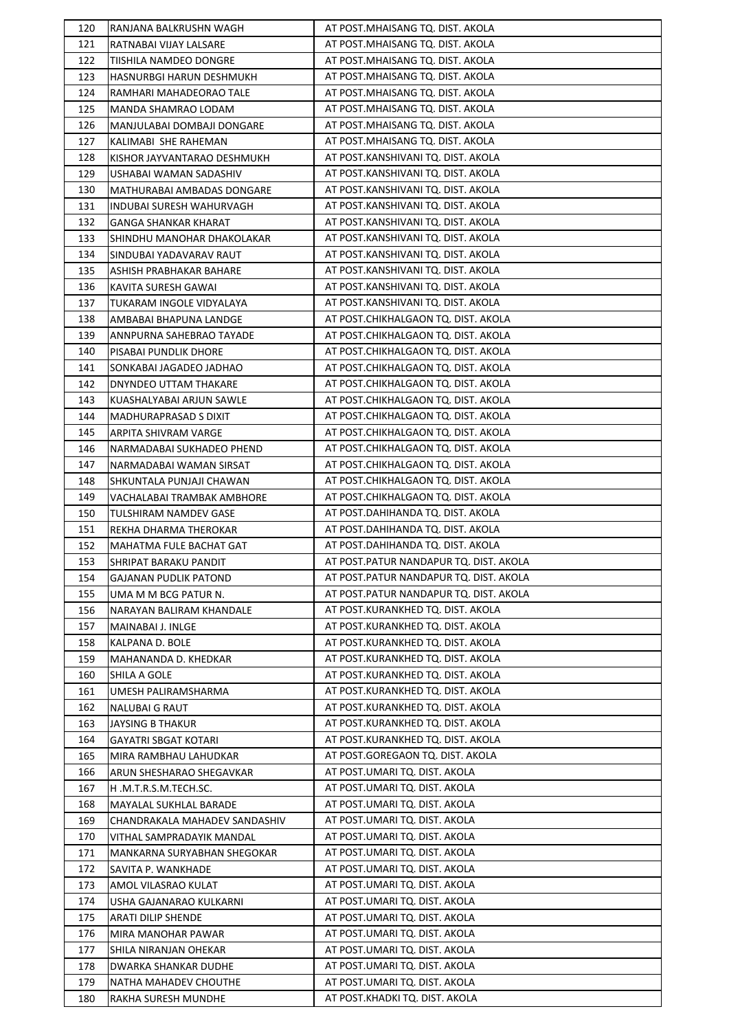| 120 | RANJANA BALKRUSHN WAGH         | AT POST.MHAISANG TQ. DIST. AKOLA       |
|-----|--------------------------------|----------------------------------------|
| 121 | RATNABAI VIJAY LALSARE         | AT POST.MHAISANG TQ. DIST. AKOLA       |
| 122 | TIISHILA NAMDEO DONGRE         | AT POST. MHAISANG TQ. DIST. AKOLA      |
| 123 | HASNURBGI HARUN DESHMUKH       | AT POST.MHAISANG TQ. DIST. AKOLA       |
| 124 | RAMHARI MAHADEORAO TALE        | AT POST.MHAISANG TQ. DIST. AKOLA       |
| 125 | MANDA SHAMRAO LODAM            | AT POST. MHAISANG TQ. DIST. AKOLA      |
| 126 | MANJULABAI DOMBAJI DONGARE     | AT POST. MHAISANG TQ. DIST. AKOLA      |
| 127 | KALIMABI SHE RAHEMAN           | AT POST. MHAISANG TQ. DIST. AKOLA      |
| 128 | KISHOR JAYVANTARAO DESHMUKH    | AT POST.KANSHIVANI TQ. DIST. AKOLA     |
| 129 | USHABAI WAMAN SADASHIV         | AT POST.KANSHIVANI TQ. DIST. AKOLA     |
| 130 | MATHURABAI AMBADAS DONGARE     | AT POST.KANSHIVANI TQ. DIST. AKOLA     |
| 131 | INDUBAI SURESH WAHURVAGH       | AT POST.KANSHIVANI TQ. DIST. AKOLA     |
| 132 | <b>GANGA SHANKAR KHARAT</b>    | AT POST.KANSHIVANI TQ. DIST. AKOLA     |
| 133 | SHINDHU MANOHAR DHAKOLAKAR     | AT POST.KANSHIVANI TQ. DIST. AKOLA     |
| 134 | SINDUBAI YADAVARAV RAUT        | AT POST.KANSHIVANI TQ. DIST. AKOLA     |
| 135 | ASHISH PRABHAKAR BAHARE        | AT POST.KANSHIVANI TQ. DIST. AKOLA     |
| 136 | KAVITA SURESH GAWAI            | AT POST.KANSHIVANI TQ. DIST. AKOLA     |
| 137 | TUKARAM INGOLE VIDYALAYA       | AT POST.KANSHIVANI TQ. DIST. AKOLA     |
| 138 | AMBABAI BHAPUNA LANDGE         | AT POST.CHIKHALGAON TQ. DIST. AKOLA    |
| 139 | ANNPURNA SAHEBRAO TAYADE       | AT POST.CHIKHALGAON TQ. DIST. AKOLA    |
| 140 | PISABAI PUNDLIK DHORE          | AT POST.CHIKHALGAON TQ. DIST. AKOLA    |
| 141 | SONKABAI JAGADEO JADHAO        | AT POST.CHIKHALGAON TQ. DIST. AKOLA    |
| 142 | DNYNDEO UTTAM THAKARE          | AT POST.CHIKHALGAON TQ. DIST. AKOLA    |
| 143 | KUASHALYABAI ARJUN SAWLE       | AT POST.CHIKHALGAON TQ. DIST. AKOLA    |
| 144 | MADHURAPRASAD S DIXIT          | AT POST.CHIKHALGAON TQ. DIST. AKOLA    |
| 145 | ARPITA SHIVRAM VARGE           | AT POST.CHIKHALGAON TQ. DIST. AKOLA    |
| 146 | NARMADABAI SUKHADEO PHEND      | AT POST.CHIKHALGAON TQ. DIST. AKOLA    |
| 147 | NARMADABAI WAMAN SIRSAT        | AT POST.CHIKHALGAON TQ. DIST. AKOLA    |
| 148 | SHKUNTALA PUNJAJI CHAWAN       | AT POST.CHIKHALGAON TQ. DIST. AKOLA    |
| 149 | VACHALABAI TRAMBAK AMBHORE     | AT POST.CHIKHALGAON TQ. DIST. AKOLA    |
| 150 | TULSHIRAM NAMDEV GASE          | AT POST.DAHIHANDA TQ. DIST. AKOLA      |
| 151 | REKHA DHARMA THEROKAR          | AT POST.DAHIHANDA TQ. DIST. AKOLA      |
| 152 | <b>MAHATMA FULE BACHAT GAT</b> | AT POST.DAHIHANDA TQ. DIST. AKOLA      |
| 153 | SHRIPAT BARAKU PANDIT          | AT POST.PATUR NANDAPUR TQ. DIST. AKOLA |
| 154 | <b>GAJANAN PUDLIK PATOND</b>   | AT POST.PATUR NANDAPUR TQ. DIST. AKOLA |
| 155 | UMA M M BCG PATUR N.           | AT POST.PATUR NANDAPUR TQ. DIST. AKOLA |
| 156 | NARAYAN BALIRAM KHANDALE       | AT POST.KURANKHED TQ. DIST. AKOLA      |
| 157 | MAINABAI J. INLGE              | AT POST.KURANKHED TQ. DIST. AKOLA      |
| 158 | KALPANA D. BOLE                | AT POST.KURANKHED TQ. DIST. AKOLA      |
| 159 | MAHANANDA D. KHEDKAR           | AT POST.KURANKHED TQ. DIST. AKOLA      |
| 160 | SHILA A GOLE                   | AT POST.KURANKHED TQ. DIST. AKOLA      |
| 161 | UMESH PALIRAMSHARMA            | AT POST.KURANKHED TQ. DIST. AKOLA      |
| 162 | <b>NALUBAI G RAUT</b>          | AT POST.KURANKHED TQ. DIST. AKOLA      |
| 163 | JAYSING B THAKUR               | AT POST.KURANKHED TQ. DIST. AKOLA      |
| 164 | GAYATRI SBGAT KOTARI           | AT POST.KURANKHED TQ. DIST. AKOLA      |
| 165 | MIRA RAMBHAU LAHUDKAR          | AT POST.GOREGAON TQ. DIST. AKOLA       |
| 166 | ARUN SHESHARAO SHEGAVKAR       | AT POST.UMARI TQ. DIST. AKOLA          |
| 167 | H.M.T.R.S.M.TECH.SC.           | AT POST.UMARI TQ. DIST. AKOLA          |
| 168 | MAYALAL SUKHLAL BARADE         | AT POST.UMARI TQ. DIST. AKOLA          |
| 169 | CHANDRAKALA MAHADEV SANDASHIV  | AT POST.UMARI TQ. DIST. AKOLA          |
| 170 | VITHAL SAMPRADAYIK MANDAL      | AT POST.UMARI TQ. DIST. AKOLA          |
| 171 | MANKARNA SURYABHAN SHEGOKAR    | AT POST.UMARI TQ. DIST. AKOLA          |
| 172 | SAVITA P. WANKHADE             | AT POST.UMARI TQ. DIST. AKOLA          |
| 173 | AMOL VILASRAO KULAT            | AT POST.UMARI TQ. DIST. AKOLA          |
| 174 | USHA GAJANARAO KULKARNI        | AT POST.UMARI TQ. DIST. AKOLA          |
| 175 | ARATI DILIP SHENDE             | AT POST.UMARI TQ. DIST. AKOLA          |
| 176 | MIRA MANOHAR PAWAR             | AT POST.UMARI TQ. DIST. AKOLA          |
| 177 | SHILA NIRANJAN OHEKAR          | AT POST.UMARI TQ. DIST. AKOLA          |
| 178 | DWARKA SHANKAR DUDHE           | AT POST.UMARI TQ. DIST. AKOLA          |
| 179 | NATHA MAHADEV CHOUTHE          | AT POST.UMARI TQ. DIST. AKOLA          |
| 180 | RAKHA SURESH MUNDHE            | AT POST.KHADKI TQ. DIST. AKOLA         |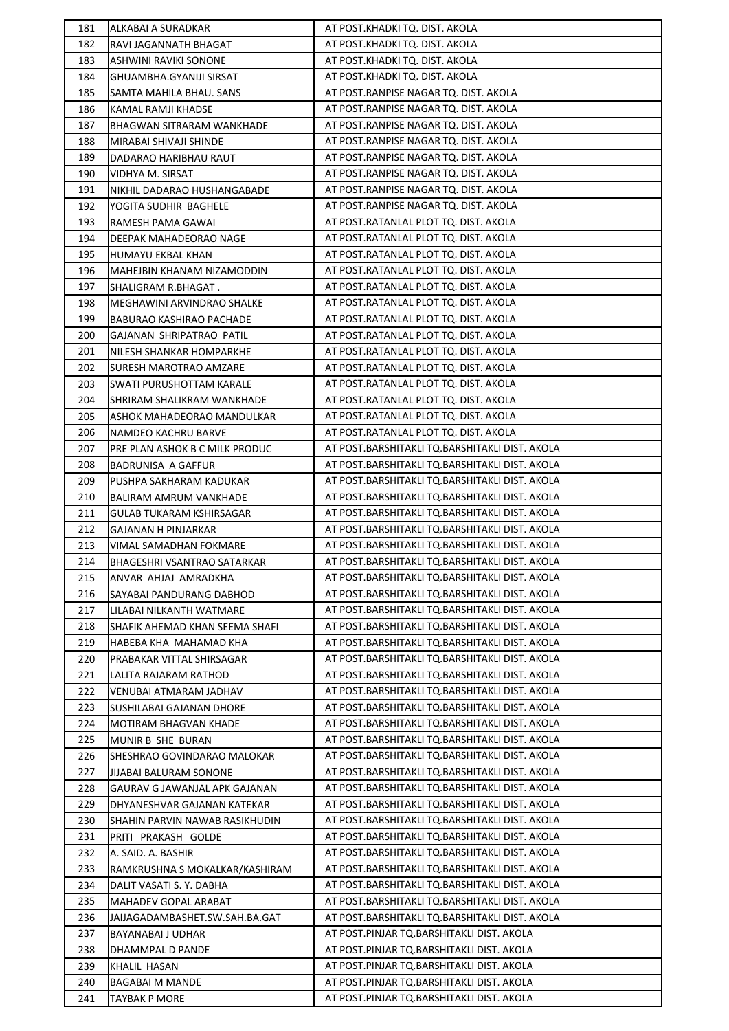| 181        | ALKABAI A SURADKAR                                 | AT POST.KHADKI TQ. DIST. AKOLA                                                                   |
|------------|----------------------------------------------------|--------------------------------------------------------------------------------------------------|
| 182        | RAVI JAGANNATH BHAGAT                              | AT POST.KHADKI TQ. DIST. AKOLA                                                                   |
| 183        | <b>ASHWINI RAVIKI SONONE</b>                       | AT POST.KHADKI TQ. DIST. AKOLA                                                                   |
| 184        | GHUAMBHA.GYANIJI SIRSAT                            | AT POST.KHADKI TQ. DIST. AKOLA                                                                   |
| 185        | SAMTA MAHILA BHAU. SANS                            | AT POST.RANPISE NAGAR TQ. DIST. AKOLA                                                            |
| 186        | KAMAL RAMJI KHADSE                                 | AT POST.RANPISE NAGAR TQ. DIST. AKOLA                                                            |
| 187        | <b>BHAGWAN SITRARAM WANKHADE</b>                   | AT POST.RANPISE NAGAR TQ. DIST. AKOLA                                                            |
| 188        | MIRABAI SHIVAJI SHINDE                             | AT POST.RANPISE NAGAR TQ. DIST. AKOLA                                                            |
| 189        | DADARAO HARIBHAU RAUT                              | AT POST.RANPISE NAGAR TQ. DIST. AKOLA                                                            |
| 190        | VIDHYA M. SIRSAT                                   | AT POST.RANPISE NAGAR TQ. DIST. AKOLA                                                            |
| 191        | NIKHIL DADARAO HUSHANGABADE                        | AT POST.RANPISE NAGAR TQ. DIST. AKOLA                                                            |
| 192        | YOGITA SUDHIR BAGHELE                              | AT POST.RANPISE NAGAR TQ. DIST. AKOLA                                                            |
| 193        | RAMESH PAMA GAWAI                                  | AT POST.RATANLAL PLOT TQ. DIST. AKOLA                                                            |
| 194        | DEEPAK MAHADEORAO NAGE                             | AT POST.RATANLAL PLOT TQ. DIST. AKOLA                                                            |
| 195        | HUMAYU EKBAL KHAN                                  | AT POST.RATANLAL PLOT TQ. DIST. AKOLA                                                            |
| 196        | MAHEJBIN KHANAM NIZAMODDIN                         | AT POST.RATANLAL PLOT TQ. DIST. AKOLA                                                            |
| 197        | SHALIGRAM R.BHAGAT.                                | AT POST.RATANLAL PLOT TQ. DIST. AKOLA                                                            |
| 198        | MEGHAWINI ARVINDRAO SHALKE                         | AT POST.RATANLAL PLOT TQ. DIST. AKOLA                                                            |
| 199        | BABURAO KASHIRAO PACHADE                           | AT POST.RATANLAL PLOT TQ. DIST. AKOLA                                                            |
| 200        | GAJANAN SHRIPATRAO PATIL                           | AT POST.RATANLAL PLOT TQ. DIST. AKOLA                                                            |
| 201        | NILESH SHANKAR HOMPARKHE                           | AT POST.RATANLAL PLOT TQ. DIST. AKOLA                                                            |
| 202        | SURESH MAROTRAO AMZARE                             | AT POST.RATANLAL PLOT TQ. DIST. AKOLA                                                            |
| 203        | SWATI PURUSHOTTAM KARALE                           | AT POST.RATANLAL PLOT TQ. DIST. AKOLA                                                            |
| 204        | SHRIRAM SHALIKRAM WANKHADE                         | AT POST.RATANLAL PLOT TQ. DIST. AKOLA                                                            |
| 205        | ASHOK MAHADEORAO MANDULKAR                         | AT POST.RATANLAL PLOT TQ. DIST. AKOLA                                                            |
| 206        | NAMDEO KACHRU BARVE                                | AT POST.RATANLAL PLOT TQ. DIST. AKOLA                                                            |
| 207        | PRE PLAN ASHOK B C MILK PRODUC                     | AT POST.BARSHITAKLI TQ.BARSHITAKLI DIST. AKOLA                                                   |
| 208        | <b>BADRUNISA A GAFFUR</b>                          | AT POST.BARSHITAKLI TQ.BARSHITAKLI DIST. AKOLA                                                   |
| 209        | PUSHPA SAKHARAM KADUKAR                            | AT POST.BARSHITAKLI TQ.BARSHITAKLI DIST. AKOLA                                                   |
| 210        | BALIRAM AMRUM VANKHADE                             | AT POST.BARSHITAKLI TQ.BARSHITAKLI DIST. AKOLA                                                   |
| 211        | GULAB TUKARAM KSHIRSAGAR                           | AT POST.BARSHITAKLI TQ.BARSHITAKLI DIST. AKOLA                                                   |
| 212        | <b>GAJANAN H PINJARKAR</b>                         | AT POST.BARSHITAKLI TQ.BARSHITAKLI DIST. AKOLA                                                   |
| 213        | VIMAL SAMADHAN FOKMARE                             | AT POST.BARSHITAKLI TQ.BARSHITAKLI DIST. AKOLA                                                   |
| 214        | BHAGESHRI VSANTRAO SATARKAR                        | AT POST.BARSHITAKLI TQ.BARSHITAKLI DIST. AKOLA                                                   |
| 215        | ANVAR AHJAJ AMRADKHA                               | AT POST.BARSHITAKLI TQ.BARSHITAKLI DIST. AKOLA                                                   |
| 216        | SAYABAI PANDURANG DABHOD                           | AT POST.BARSHITAKLI TQ.BARSHITAKLI DIST. AKOLA                                                   |
| 217        | LILABAI NILKANTH WATMARE                           | AT POST.BARSHITAKLI TQ.BARSHITAKLI DIST. AKOLA                                                   |
| 218        | SHAFIK AHEMAD KHAN SEEMA SHAFI                     | AT POST.BARSHITAKLI TQ.BARSHITAKLI DIST. AKOLA                                                   |
| 219        | HABEBA KHA MAHAMAD KHA                             | AT POST.BARSHITAKLI TQ.BARSHITAKLI DIST. AKOLA                                                   |
| 220        | PRABAKAR VITTAL SHIRSAGAR                          | AT POST.BARSHITAKLI TQ.BARSHITAKLI DIST. AKOLA                                                   |
| 221        | LALITA RAJARAM RATHOD                              | AT POST.BARSHITAKLI TQ.BARSHITAKLI DIST. AKOLA                                                   |
| 222        |                                                    | AT POST.BARSHITAKLI TQ.BARSHITAKLI DIST. AKOLA                                                   |
| 223        | VENUBAI ATMARAM JADHAV<br>SUSHILABAI GAJANAN DHORE | AT POST.BARSHITAKLI TQ.BARSHITAKLI DIST. AKOLA                                                   |
| 224        |                                                    | AT POST.BARSHITAKLI TQ.BARSHITAKLI DIST. AKOLA                                                   |
| 225        | MOTIRAM BHAGVAN KHADE                              | AT POST.BARSHITAKLI TQ.BARSHITAKLI DIST. AKOLA                                                   |
|            | MUNIR B SHE BURAN                                  | AT POST.BARSHITAKLI TQ.BARSHITAKLI DIST. AKOLA                                                   |
| 226<br>227 | SHESHRAO GOVINDARAO MALOKAR                        | AT POST.BARSHITAKLI TQ.BARSHITAKLI DIST. AKOLA                                                   |
|            | JIJABAI BALURAM SONONE                             | AT POST.BARSHITAKLI TQ.BARSHITAKLI DIST. AKOLA                                                   |
| 228        | GAURAV G JAWANJAL APK GAJANAN                      |                                                                                                  |
| 229        | DHYANESHVAR GAJANAN KATEKAR                        | AT POST.BARSHITAKLI TQ.BARSHITAKLI DIST. AKOLA                                                   |
| 230        | SHAHIN PARVIN NAWAB RASIKHUDIN                     | AT POST.BARSHITAKLI TQ.BARSHITAKLI DIST. AKOLA                                                   |
| 231<br>232 | PRITI PRAKASH GOLDE                                | AT POST.BARSHITAKLI TQ.BARSHITAKLI DIST. AKOLA<br>AT POST.BARSHITAKLI TQ.BARSHITAKLI DIST. AKOLA |
|            | A. SAID. A. BASHIR                                 | AT POST.BARSHITAKLI TQ.BARSHITAKLI DIST. AKOLA                                                   |
| 233        | RAMKRUSHNA S MOKALKAR/KASHIRAM                     | AT POST.BARSHITAKLI TQ.BARSHITAKLI DIST. AKOLA                                                   |
| 234        | DALIT VASATI S. Y. DABHA                           |                                                                                                  |
| 235        | MAHADEV GOPAL ARABAT                               | AT POST.BARSHITAKLI TQ.BARSHITAKLI DIST. AKOLA                                                   |
| 236        | JAIJAGADAMBASHET.SW.SAH.BA.GAT                     | AT POST.BARSHITAKLI TQ.BARSHITAKLI DIST. AKOLA                                                   |
| 237        | BAYANABAI J UDHAR                                  | AT POST.PINJAR TQ.BARSHITAKLI DIST. AKOLA                                                        |
| 238        | DHAMMPAL D PANDE                                   | AT POST.PINJAR TQ.BARSHITAKLI DIST. AKOLA                                                        |
| 239        | KHALIL HASAN                                       | AT POST.PINJAR TQ.BARSHITAKLI DIST. AKOLA                                                        |
| 240        | <b>BAGABAI M MANDE</b>                             | AT POST.PINJAR TQ.BARSHITAKLI DIST. AKOLA                                                        |
| 241        | <b>TAYBAK P MORE</b>                               | AT POST.PINJAR TQ.BARSHITAKLI DIST. AKOLA                                                        |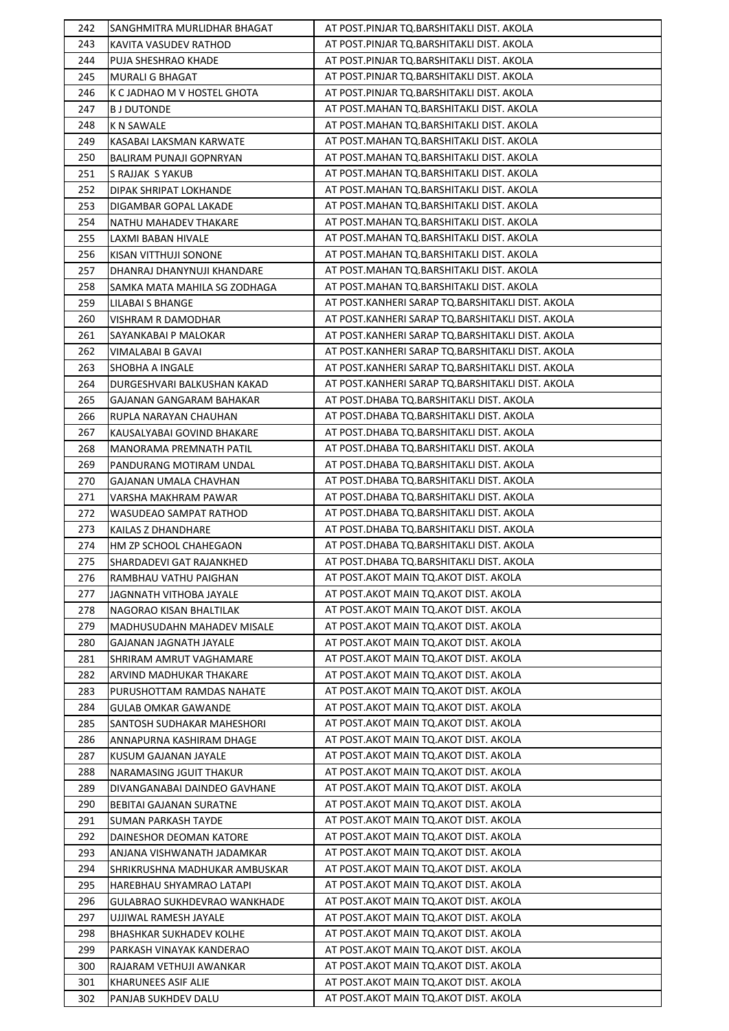| 242        | SANGHMITRA MURLIDHAR BHAGAT          | AT POST.PINJAR TQ.BARSHITAKLI DIST. AKOLA        |
|------------|--------------------------------------|--------------------------------------------------|
| 243        | KAVITA VASUDEV RATHOD                | AT POST.PINJAR TQ.BARSHITAKLI DIST. AKOLA        |
| 244        | PUJA SHESHRAO KHADE                  | AT POST.PINJAR TQ.BARSHITAKLI DIST. AKOLA        |
| 245        | MURALI G BHAGAT                      | AT POST.PINJAR TQ.BARSHITAKLI DIST. AKOLA        |
| 246        | K C JADHAO M V HOSTEL GHOTA          | AT POST.PINJAR TQ.BARSHITAKLI DIST. AKOLA        |
| 247        | B J DUTONDE                          | AT POST.MAHAN TQ.BARSHITAKLI DIST. AKOLA         |
| 248        | <b>K N SAWALE</b>                    | AT POST.MAHAN TQ.BARSHITAKLI DIST. AKOLA         |
| 249        | KASABAI LAKSMAN KARWATE              | AT POST. MAHAN TQ. BARSHITAKLI DIST. AKOLA       |
| 250        | <b>BALIRAM PUNAJI GOPNRYAN</b>       | AT POST.MAHAN TQ.BARSHITAKLI DIST. AKOLA         |
| 251        | S RAJJAK S YAKUB                     | AT POST.MAHAN TQ.BARSHITAKLI DIST. AKOLA         |
| 252        | DIPAK SHRIPAT LOKHANDE               | AT POST.MAHAN TQ.BARSHITAKLI DIST. AKOLA         |
| 253        | DIGAMBAR GOPAL LAKADE                | AT POST.MAHAN TQ.BARSHITAKLI DIST. AKOLA         |
| 254        | NATHU MAHADEV THAKARE                | AT POST. MAHAN TQ. BARSHITAKLI DIST. AKOLA       |
| 255        | LAXMI BABAN HIVALE                   | AT POST. MAHAN TQ. BARSHITAKLI DIST. AKOLA       |
| 256        | KISAN VITTHUJI SONONE                | AT POST.MAHAN TQ.BARSHITAKLI DIST. AKOLA         |
| 257        | DHANRAJ DHANYNUJI KHANDARE           | AT POST. MAHAN TQ. BARSHITAKLI DIST. AKOLA       |
| 258        | SAMKA MATA MAHILA SG ZODHAGA         | AT POST. MAHAN TQ. BARSHITAKLI DIST. AKOLA       |
| 259        | <b>LILABAI S BHANGE</b>              | AT POST.KANHERI SARAP TQ.BARSHITAKLI DIST. AKOLA |
| 260        | VISHRAM R DAMODHAR                   | AT POST.KANHERI SARAP TQ.BARSHITAKLI DIST. AKOLA |
| 261        | SAYANKABAI P MALOKAR                 | AT POST.KANHERI SARAP TQ.BARSHITAKLI DIST. AKOLA |
|            |                                      | AT POST.KANHERI SARAP TQ.BARSHITAKLI DIST. AKOLA |
| 262<br>263 | VIMALABAI B GAVAI<br>SHOBHA A INGALE | AT POST.KANHERI SARAP TQ.BARSHITAKLI DIST. AKOLA |
| 264        |                                      | AT POST.KANHERI SARAP TQ.BARSHITAKLI DIST. AKOLA |
|            | DURGESHVARI BALKUSHAN KAKAD          |                                                  |
| 265        | GAJANAN GANGARAM BAHAKAR             | AT POST.DHABA TQ.BARSHITAKLI DIST. AKOLA         |
| 266        | RUPLA NARAYAN CHAUHAN                | AT POST.DHABA TQ.BARSHITAKLI DIST. AKOLA         |
| 267        | KAUSALYABAI GOVIND BHAKARE           | AT POST.DHABA TQ.BARSHITAKLI DIST. AKOLA         |
| 268        | MANORAMA PREMNATH PATIL              | AT POST.DHABA TQ.BARSHITAKLI DIST. AKOLA         |
| 269        | PANDURANG MOTIRAM UNDAL              | AT POST.DHABA TQ.BARSHITAKLI DIST. AKOLA         |
| 270        | GAJANAN UMALA CHAVHAN                | AT POST.DHABA TQ.BARSHITAKLI DIST. AKOLA         |
| 271        | VARSHA MAKHRAM PAWAR                 | AT POST.DHABA TQ.BARSHITAKLI DIST. AKOLA         |
| 272        | WASUDEAO SAMPAT RATHOD               | AT POST.DHABA TQ.BARSHITAKLI DIST. AKOLA         |
| 273        | KAILAS Z DHANDHARE                   | AT POST.DHABA TQ.BARSHITAKLI DIST. AKOLA         |
| 274        | HM ZP SCHOOL CHAHEGAON               | AT POST.DHABA TQ.BARSHITAKLI DIST. AKOLA         |
| 275        | SHARDADEVI GAT RAJANKHED             | AT POST.DHABA TQ.BARSHITAKLI DIST. AKOLA         |
| 276        | RAMBHAU VATHU PAIGHAN                | AT POST. AKOT MAIN TQ. AKOT DIST. AKOLA          |
| 277        | JAGNNATH VITHOBA JAYALE              | AT POST.AKOT MAIN TQ.AKOT DIST. AKOLA            |
| 278        | NAGORAO KISAN BHALTILAK              | AT POST.AKOT MAIN TQ.AKOT DIST. AKOLA            |
| 279        | MADHUSUDAHN MAHADEV MISALE           | AT POST. AKOT MAIN TO. AKOT DIST. AKOLA          |
| 280        | GAJANAN JAGNATH JAYALE               | AT POST.AKOT MAIN TQ.AKOT DIST. AKOLA            |
| 281        | SHRIRAM AMRUT VAGHAMARE              | AT POST.AKOT MAIN TQ.AKOT DIST. AKOLA            |
| 282        | ARVIND MADHUKAR THAKARE              | AT POST.AKOT MAIN TQ.AKOT DIST. AKOLA            |
| 283        | PURUSHOTTAM RAMDAS NAHATE            | AT POST.AKOT MAIN TQ.AKOT DIST. AKOLA            |
| 284        | GULAB OMKAR GAWANDE                  | AT POST. AKOT MAIN TO. AKOT DIST. AKOLA          |
| 285        | SANTOSH SUDHAKAR MAHESHORI           | AT POST.AKOT MAIN TQ.AKOT DIST. AKOLA            |
| 286        | ANNAPURNA KASHIRAM DHAGE             | AT POST. AKOT MAIN TO. AKOT DIST. AKOLA          |
| 287        | KUSUM GAJANAN JAYALE                 | AT POST.AKOT MAIN TQ.AKOT DIST. AKOLA            |
| 288        | NARAMASING JGUIT THAKUR              | AT POST.AKOT MAIN TQ.AKOT DIST. AKOLA            |
| 289        | DIVANGANABAI DAINDEO GAVHANE         | AT POST. AKOT MAIN TO. AKOT DIST. AKOLA          |
| 290        | BEBITAI GAJANAN SURATNE              | AT POST.AKOT MAIN TQ.AKOT DIST. AKOLA            |
| 291        | <b>SUMAN PARKASH TAYDE</b>           | AT POST.AKOT MAIN TQ.AKOT DIST. AKOLA            |
| 292        | DAINESHOR DEOMAN KATORE              | AT POST.AKOT MAIN TQ.AKOT DIST. AKOLA            |
| 293        | ANJANA VISHWANATH JADAMKAR           | AT POST. AKOT MAIN TO. AKOT DIST. AKOLA          |
| 294        | SHRIKRUSHNA MADHUKAR AMBUSKAR        | AT POST. AKOT MAIN TO. AKOT DIST. AKOLA          |
| 295        | HAREBHAU SHYAMRAO LATAPI             | AT POST.AKOT MAIN TQ.AKOT DIST. AKOLA            |
| 296        | GULABRAO SUKHDEVRAO WANKHADE         | AT POST. AKOT MAIN TO. AKOT DIST. AKOLA          |
| 297        | UJJIWAL RAMESH JAYALE                | AT POST.AKOT MAIN TQ.AKOT DIST. AKOLA            |
| 298        | <b>BHASHKAR SUKHADEV KOLHE</b>       | AT POST. AKOT MAIN TO. AKOT DIST. AKOLA          |
| 299        | PARKASH VINAYAK KANDERAO             | AT POST. AKOT MAIN TO. AKOT DIST. AKOLA          |
| 300        | RAJARAM VETHUJI AWANKAR              | AT POST. AKOT MAIN TO. AKOT DIST. AKOLA          |
| 301        | KHARUNEES ASIF ALIE                  | AT POST.AKOT MAIN TQ.AKOT DIST. AKOLA            |
| 302        | PANJAB SUKHDEV DALU                  | AT POST.AKOT MAIN TQ.AKOT DIST. AKOLA            |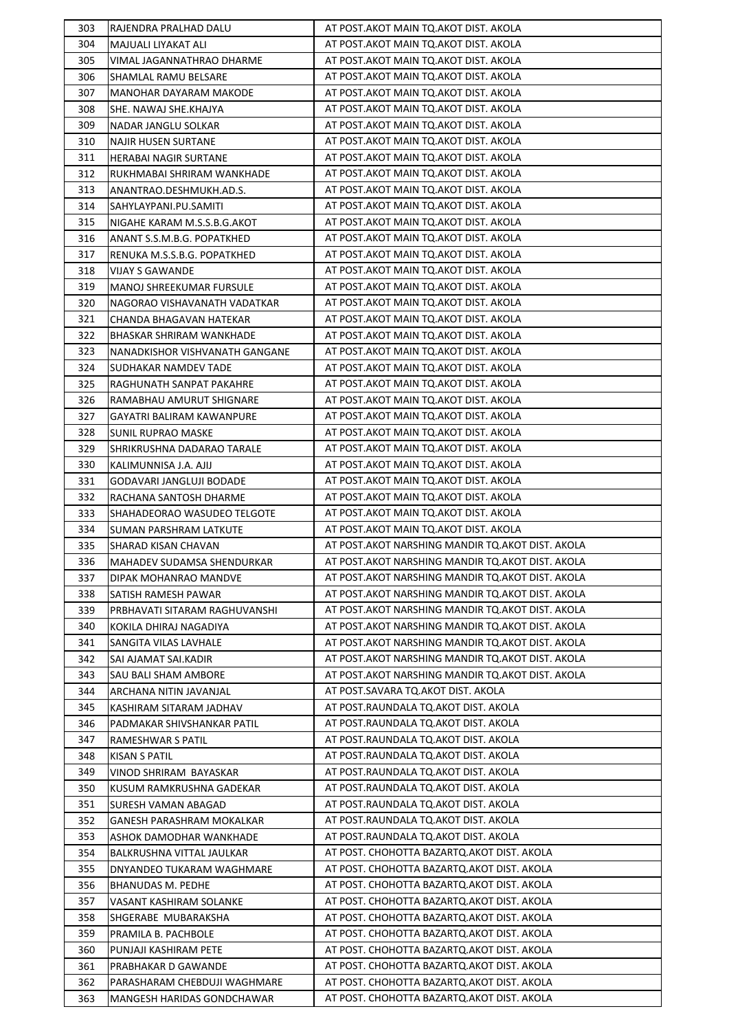| 303        | RAJENDRA PRALHAD DALU                                 | AT POST.AKOT MAIN TQ.AKOT DIST. AKOLA              |
|------------|-------------------------------------------------------|----------------------------------------------------|
| 304        | MAJUALI LIYAKAT ALI                                   | AT POST.AKOT MAIN TQ.AKOT DIST. AKOLA              |
| 305        | VIMAL JAGANNATHRAO DHARME                             | AT POST. AKOT MAIN TQ. AKOT DIST. AKOLA            |
| 306        | SHAMLAL RAMU BELSARE                                  | AT POST.AKOT MAIN TQ.AKOT DIST. AKOLA              |
| 307        | <b>MANOHAR DAYARAM MAKODE</b>                         | AT POST.AKOT MAIN TQ.AKOT DIST. AKOLA              |
| 308        | SHE. NAWAJ SHE.KHAJYA                                 | AT POST.AKOT MAIN TQ.AKOT DIST. AKOLA              |
| 309        | NADAR JANGLU SOLKAR                                   | AT POST.AKOT MAIN TQ.AKOT DIST. AKOLA              |
| 310        | <b>NAJIR HUSEN SURTANE</b>                            | AT POST.AKOT MAIN TQ.AKOT DIST. AKOLA              |
| 311        | <b>HERABAI NAGIR SURTANE</b>                          | AT POST.AKOT MAIN TQ.AKOT DIST. AKOLA              |
| 312        | RUKHMABAI SHRIRAM WANKHADE                            | AT POST.AKOT MAIN TQ.AKOT DIST. AKOLA              |
| 313        | ANANTRAO.DESHMUKH.AD.S.                               | AT POST.AKOT MAIN TQ.AKOT DIST. AKOLA              |
| 314        | SAHYLAYPANI.PU.SAMITI                                 | AT POST.AKOT MAIN TQ.AKOT DIST. AKOLA              |
| 315        | NIGAHE KARAM M.S.S.B.G.AKOT                           | AT POST. AKOT MAIN TQ. AKOT DIST. AKOLA            |
| 316        | ANANT S.S.M.B.G. POPATKHED                            | AT POST.AKOT MAIN TQ.AKOT DIST. AKOLA              |
| 317        | RENUKA M.S.S.B.G. POPATKHED                           | AT POST.AKOT MAIN TQ.AKOT DIST. AKOLA              |
| 318        | VIJAY S GAWANDE                                       | AT POST.AKOT MAIN TQ.AKOT DIST. AKOLA              |
| 319        | <b>MANOJ SHREEKUMAR FURSULE</b>                       | AT POST.AKOT MAIN TQ.AKOT DIST. AKOLA              |
| 320        | NAGORAO VISHAVANATH VADATKAR                          | AT POST.AKOT MAIN TQ.AKOT DIST. AKOLA              |
| 321        | CHANDA BHAGAVAN HATEKAR                               | AT POST.AKOT MAIN TQ.AKOT DIST. AKOLA              |
| 322        | BHASKAR SHRIRAM WANKHADE                              | AT POST.AKOT MAIN TQ.AKOT DIST. AKOLA              |
| 323        | NANADKISHOR VISHVANATH GANGANE                        | AT POST.AKOT MAIN TQ.AKOT DIST. AKOLA              |
| 324        | SUDHAKAR NAMDEV TADE                                  | AT POST.AKOT MAIN TQ.AKOT DIST. AKOLA              |
| 325        | RAGHUNATH SANPAT PAKAHRE                              | AT POST. AKOT MAIN TQ. AKOT DIST. AKOLA            |
| 326        | RAMABHAU AMURUT SHIGNARE                              | AT POST.AKOT MAIN TQ.AKOT DIST. AKOLA              |
| 327        | GAYATRI BALIRAM KAWANPURE                             | AT POST.AKOT MAIN TQ.AKOT DIST. AKOLA              |
| 328        | SUNIL RUPRAO MASKE                                    | AT POST.AKOT MAIN TQ.AKOT DIST. AKOLA              |
| 329        | SHRIKRUSHNA DADARAO TARALE                            | AT POST.AKOT MAIN TQ.AKOT DIST. AKOLA              |
| 330        | KALIMUNNISA J.A. AJIJ                                 | AT POST. AKOT MAIN TQ. AKOT DIST. AKOLA            |
| 331        |                                                       | AT POST. AKOT MAIN TQ. AKOT DIST. AKOLA            |
|            | GODAVARI JANGLUJI BODADE                              | AT POST.AKOT MAIN TQ.AKOT DIST. AKOLA              |
| 332        | RACHANA SANTOSH DHARME                                | AT POST.AKOT MAIN TQ.AKOT DIST. AKOLA              |
| 333        | SHAHADEORAO WASUDEO TELGOTE<br>SUMAN PARSHRAM LATKUTE | AT POST.AKOT MAIN TQ.AKOT DIST. AKOLA              |
| 334<br>335 |                                                       | AT POST. AKOT NARSHING MANDIR TQ. AKOT DIST. AKOLA |
| 336        | SHARAD KISAN CHAVAN<br>MAHADEV SUDAMSA SHENDURKAR     | AT POST. AKOT NARSHING MANDIR TO. AKOT DIST. AKOLA |
| 337        |                                                       | AT POST.AKOT NARSHING MANDIR TQ.AKOT DIST. AKOLA   |
|            | DIPAK MOHANRAO MANDVE                                 | AT POST.AKOT NARSHING MANDIR TQ.AKOT DIST. AKOLA   |
| 338<br>339 | SATISH RAMESH PAWAR                                   | AT POST.AKOT NARSHING MANDIR TQ.AKOT DIST. AKOLA   |
| 340        | PRBHAVATI SITARAM RAGHUVANSHI                         | AT POST. AKOT NARSHING MANDIR TQ. AKOT DIST. AKOLA |
|            | KOKILA DHIRAJ NAGADIYA                                |                                                    |
| 341        | SANGITA VILAS LAVHALE                                 | AT POST. AKOT NARSHING MANDIR TO. AKOT DIST. AKOLA |
| 342        | SAI AJAMAT SAI.KADIR                                  | AT POST.AKOT NARSHING MANDIR TQ.AKOT DIST. AKOLA   |
| 343        | SAU BALI SHAM AMBORE                                  | AT POST.AKOT NARSHING MANDIR TQ.AKOT DIST. AKOLA   |
| 344        | ARCHANA NITIN JAVANJAL                                | AT POST.SAVARA TQ.AKOT DIST. AKOLA                 |
| 345        | KASHIRAM SITARAM JADHAV                               | AT POST.RAUNDALA TQ.AKOT DIST. AKOLA               |
| 346        | PADMAKAR SHIVSHANKAR PATIL                            | AT POST.RAUNDALA TQ.AKOT DIST. AKOLA               |
| 347        | RAMESHWAR S PATIL                                     | AT POST.RAUNDALA TQ.AKOT DIST. AKOLA               |
| 348        | KISAN S PATIL                                         | AT POST.RAUNDALA TQ.AKOT DIST. AKOLA               |
| 349        | VINOD SHRIRAM BAYASKAR                                | AT POST.RAUNDALA TQ.AKOT DIST. AKOLA               |
| 350        | KUSUM RAMKRUSHNA GADEKAR                              | AT POST.RAUNDALA TQ.AKOT DIST. AKOLA               |
| 351        | SURESH VAMAN ABAGAD                                   | AT POST.RAUNDALA TQ.AKOT DIST. AKOLA               |
| 352        | GANESH PARASHRAM MOKALKAR                             | AT POST.RAUNDALA TQ.AKOT DIST. AKOLA               |
| 353        | ASHOK DAMODHAR WANKHADE                               | AT POST.RAUNDALA TQ.AKOT DIST. AKOLA               |
| 354        | BALKRUSHNA VITTAL JAULKAR                             | AT POST. CHOHOTTA BAZARTQ.AKOT DIST. AKOLA         |
| 355        | DNYANDEO TUKARAM WAGHMARE                             | AT POST. CHOHOTTA BAZARTQ.AKOT DIST. AKOLA         |
| 356        | BHANUDAS M. PEDHE                                     | AT POST. CHOHOTTA BAZARTQ.AKOT DIST. AKOLA         |
| 357        | VASANT KASHIRAM SOLANKE                               | AT POST. CHOHOTTA BAZARTQ.AKOT DIST. AKOLA         |
| 358        | SHGERABE MUBARAKSHA                                   | AT POST. CHOHOTTA BAZARTQ.AKOT DIST. AKOLA         |
| 359        | PRAMILA B. PACHBOLE                                   | AT POST. CHOHOTTA BAZARTQ.AKOT DIST. AKOLA         |
| 360        | PUNJAJI KASHIRAM PETE                                 | AT POST. CHOHOTTA BAZARTQ.AKOT DIST. AKOLA         |
| 361        | PRABHAKAR D GAWANDE                                   | AT POST. CHOHOTTA BAZARTQ.AKOT DIST. AKOLA         |
| 362        | PARASHARAM CHEBDUJI WAGHMARE                          | AT POST. CHOHOTTA BAZARTQ.AKOT DIST. AKOLA         |
| 363        | MANGESH HARIDAS GONDCHAWAR                            | AT POST. CHOHOTTA BAZARTQ.AKOT DIST. AKOLA         |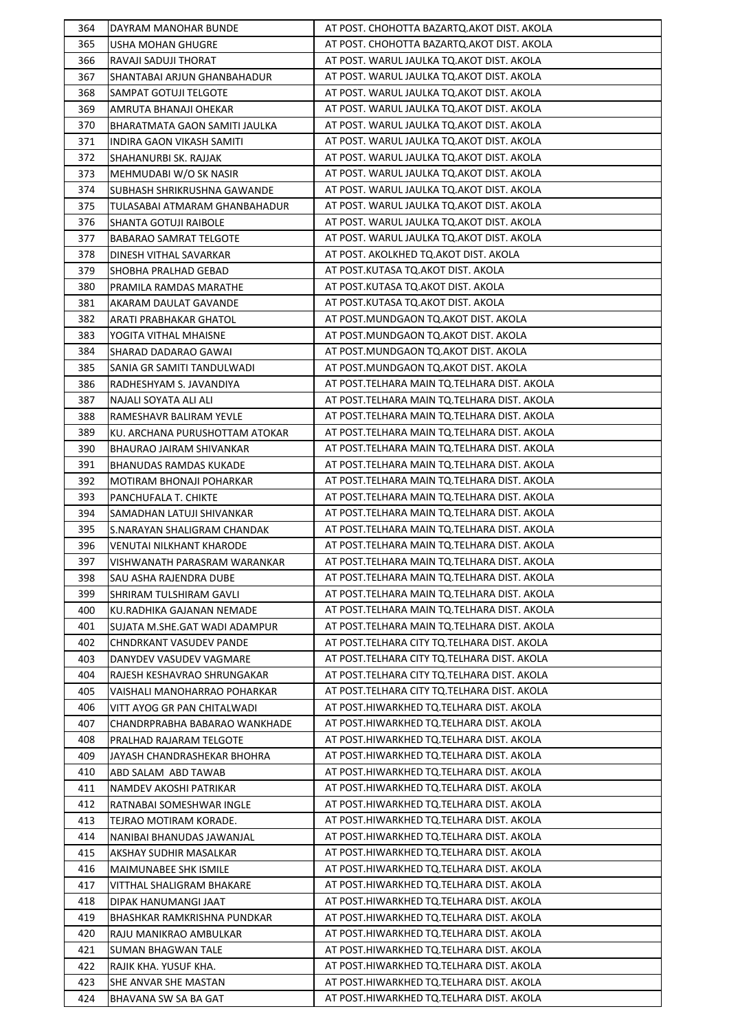| 364 | DAYRAM MANOHAR BUNDE                            | AT POST. CHOHOTTA BAZARTQ.AKOT DIST. AKOLA    |
|-----|-------------------------------------------------|-----------------------------------------------|
| 365 | USHA MOHAN GHUGRE                               | AT POST. CHOHOTTA BAZARTQ.AKOT DIST. AKOLA    |
| 366 | RAVAJI SADUJI THORAT                            | AT POST. WARUL JAULKA TQ.AKOT DIST. AKOLA     |
| 367 | SHANTABAI ARJUN GHANBAHADUR                     | AT POST. WARUL JAULKA TQ.AKOT DIST. AKOLA     |
| 368 | SAMPAT GOTUJI TELGOTE                           | AT POST. WARUL JAULKA TQ.AKOT DIST. AKOLA     |
| 369 | AMRUTA BHANAJI OHEKAR                           | AT POST. WARUL JAULKA TQ.AKOT DIST. AKOLA     |
| 370 | BHARATMATA GAON SAMITI JAULKA                   | AT POST. WARUL JAULKA TQ.AKOT DIST. AKOLA     |
| 371 | INDIRA GAON VIKASH SAMITI                       | AT POST. WARUL JAULKA TQ.AKOT DIST. AKOLA     |
| 372 | SHAHANURBI SK. RAJJAK                           | AT POST. WARUL JAULKA TO.AKOT DIST. AKOLA     |
| 373 | MEHMUDABI W/O SK NASIR                          | AT POST. WARUL JAULKA TQ.AKOT DIST. AKOLA     |
| 374 | SUBHASH SHRIKRUSHNA GAWANDE                     | AT POST. WARUL JAULKA TQ.AKOT DIST. AKOLA     |
| 375 | TULASABAI ATMARAM GHANBAHADUR                   | AT POST. WARUL JAULKA TQ.AKOT DIST. AKOLA     |
| 376 | SHANTA GOTUJI RAIBOLE                           | AT POST. WARUL JAULKA TQ.AKOT DIST. AKOLA     |
| 377 | <b>BABARAO SAMRAT TELGOTE</b>                   | AT POST. WARUL JAULKA TQ.AKOT DIST. AKOLA     |
| 378 | DINESH VITHAL SAVARKAR                          | AT POST. AKOLKHED TQ.AKOT DIST. AKOLA         |
| 379 | SHOBHA PRALHAD GEBAD                            | AT POST.KUTASA TQ.AKOT DIST. AKOLA            |
| 380 | PRAMILA RAMDAS MARATHE                          | AT POST.KUTASA TQ.AKOT DIST. AKOLA            |
| 381 |                                                 | AT POST.KUTASA TQ.AKOT DIST. AKOLA            |
| 382 | AKARAM DAULAT GAVANDE<br>ARATI PRABHAKAR GHATOL | AT POST.MUNDGAON TQ.AKOT DIST. AKOLA          |
|     |                                                 | AT POST.MUNDGAON TQ.AKOT DIST. AKOLA          |
| 383 | YOGITA VITHAL MHAISNE                           |                                               |
| 384 | SHARAD DADARAO GAWAI                            | AT POST.MUNDGAON TQ.AKOT DIST. AKOLA          |
| 385 | SANIA GR SAMITI TANDULWADI                      | AT POST.MUNDGAON TQ.AKOT DIST. AKOLA          |
| 386 | RADHESHYAM S. JAVANDIYA                         | AT POST. TELHARA MAIN TQ. TELHARA DIST. AKOLA |
| 387 | NAJALI SOYATA ALI ALI                           | AT POST. TELHARA MAIN TO. TELHARA DIST. AKOLA |
| 388 | RAMESHAVR BALIRAM YEVLE                         | AT POST. TELHARA MAIN TO. TELHARA DIST. AKOLA |
| 389 | KU. ARCHANA PURUSHOTTAM ATOKAR                  | AT POST.TELHARA MAIN TQ.TELHARA DIST. AKOLA   |
| 390 | BHAURAO JAIRAM SHIVANKAR                        | AT POST.TELHARA MAIN TQ.TELHARA DIST. AKOLA   |
| 391 | <b>BHANUDAS RAMDAS KUKADE</b>                   | AT POST. TELHARA MAIN TQ. TELHARA DIST. AKOLA |
| 392 | MOTIRAM BHONAJI POHARKAR                        | AT POST. TELHARA MAIN TQ. TELHARA DIST. AKOLA |
| 393 | PANCHUFALA T. CHIKTE                            | AT POST. TELHARA MAIN TQ. TELHARA DIST. AKOLA |
| 394 | SAMADHAN LATUJI SHIVANKAR                       | AT POST. TELHARA MAIN TO. TELHARA DIST. AKOLA |
| 395 | S.NARAYAN SHALIGRAM CHANDAK                     | AT POST. TELHARA MAIN TQ. TELHARA DIST. AKOLA |
| 396 | VENUTAI NILKHANT KHARODE                        | AT POST.TELHARA MAIN TQ.TELHARA DIST. AKOLA   |
| 397 | VISHWANATH PARASRAM WARANKAR                    | AT POST. TELHARA MAIN TQ. TELHARA DIST. AKOLA |
| 398 | SAU ASHA RAJENDRA DUBE                          | AT POST. TELHARA MAIN TO. TELHARA DIST. AKOLA |
| 399 | SHRIRAM TULSHIRAM GAVLI                         | AT POST.TELHARA MAIN TQ.TELHARA DIST. AKOLA   |
| 400 | KU.RADHIKA GAJANAN NEMADE                       | AT POST.TELHARA MAIN TQ.TELHARA DIST. AKOLA   |
| 401 | SUJATA M.SHE.GAT WADI ADAMPUR                   | AT POST. TELHARA MAIN TO. TELHARA DIST. AKOLA |
| 402 | CHNDRKANT VASUDEV PANDE                         | AT POST. TELHARA CITY TQ. TELHARA DIST. AKOLA |
| 403 | DANYDEV VASUDEV VAGMARE                         | AT POST.TELHARA CITY TQ.TELHARA DIST. AKOLA   |
| 404 | RAJESH KESHAVRAO SHRUNGAKAR                     | AT POST.TELHARA CITY TQ.TELHARA DIST. AKOLA   |
| 405 | VAISHALI MANOHARRAO POHARKAR                    | AT POST.TELHARA CITY TQ.TELHARA DIST. AKOLA   |
| 406 | VITT AYOG GR PAN CHITALWADI                     | AT POST.HIWARKHED TQ.TELHARA DIST. AKOLA      |
| 407 | CHANDRPRABHA BABARAO WANKHADE                   | AT POST.HIWARKHED TQ.TELHARA DIST. AKOLA      |
| 408 | PRALHAD RAJARAM TELGOTE                         | AT POST.HIWARKHED TQ.TELHARA DIST. AKOLA      |
| 409 | JAYASH CHANDRASHEKAR BHOHRA                     | AT POST.HIWARKHED TQ.TELHARA DIST. AKOLA      |
| 410 | ABD SALAM ABD TAWAB                             | AT POST.HIWARKHED TQ.TELHARA DIST. AKOLA      |
| 411 | NAMDEV AKOSHI PATRIKAR                          | AT POST.HIWARKHED TQ.TELHARA DIST. AKOLA      |
| 412 | RATNABAI SOMESHWAR INGLE                        | AT POST.HIWARKHED TQ.TELHARA DIST. AKOLA      |
| 413 | TEJRAO MOTIRAM KORADE.                          | AT POST.HIWARKHED TQ.TELHARA DIST. AKOLA      |
| 414 | NANIBAI BHANUDAS JAWANJAL                       | AT POST.HIWARKHED TQ.TELHARA DIST. AKOLA      |
| 415 | AKSHAY SUDHIR MASALKAR                          | AT POST.HIWARKHED TQ.TELHARA DIST. AKOLA      |
| 416 | MAIMUNABEE SHK ISMILE                           | AT POST.HIWARKHED TQ.TELHARA DIST. AKOLA      |
| 417 | VITTHAL SHALIGRAM BHAKARE                       | AT POST.HIWARKHED TQ.TELHARA DIST. AKOLA      |
| 418 | DIPAK HANUMANGI JAAT                            | AT POST.HIWARKHED TQ.TELHARA DIST. AKOLA      |
| 419 | BHASHKAR RAMKRISHNA PUNDKAR                     | AT POST.HIWARKHED TQ.TELHARA DIST. AKOLA      |
| 420 |                                                 |                                               |
|     | RAJU MANIKRAO AMBULKAR                          | AT POST.HIWARKHED TQ.TELHARA DIST. AKOLA      |
| 421 | SUMAN BHAGWAN TALE                              | AT POST.HIWARKHED TQ.TELHARA DIST. AKOLA      |
| 422 | RAJIK KHA. YUSUF KHA.                           | AT POST.HIWARKHED TQ.TELHARA DIST. AKOLA      |
| 423 | SHE ANVAR SHE MASTAN                            | AT POST.HIWARKHED TQ.TELHARA DIST. AKOLA      |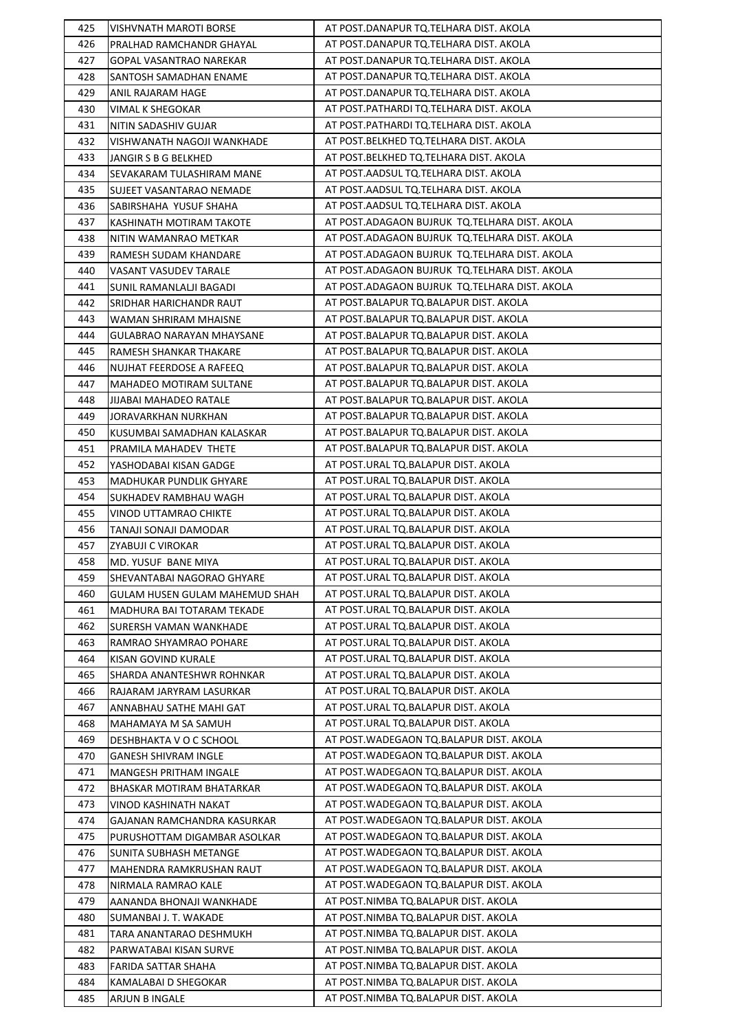| 425 | VISHVNATH MAROTI BORSE         | AT POST.DANAPUR TQ.TELHARA DIST. AKOLA        |
|-----|--------------------------------|-----------------------------------------------|
| 426 | PRALHAD RAMCHANDR GHAYAL       | AT POST.DANAPUR TQ.TELHARA DIST. AKOLA        |
| 427 | GOPAL VASANTRAO NAREKAR        | AT POST.DANAPUR TQ.TELHARA DIST. AKOLA        |
| 428 | SANTOSH SAMADHAN ENAME         | AT POST.DANAPUR TQ.TELHARA DIST. AKOLA        |
| 429 | ANIL RAJARAM HAGE              | AT POST.DANAPUR TQ.TELHARA DIST. AKOLA        |
| 430 | VIMAL K SHEGOKAR               | AT POST.PATHARDI TQ.TELHARA DIST. AKOLA       |
| 431 | NITIN SADASHIV GUJAR           | AT POST.PATHARDI TQ.TELHARA DIST. AKOLA       |
| 432 | VISHWANATH NAGOJI WANKHADE     | AT POST.BELKHED TQ.TELHARA DIST. AKOLA        |
| 433 | JANGIR S B G BELKHED           | AT POST.BELKHED TQ.TELHARA DIST. AKOLA        |
| 434 | SEVAKARAM TULASHIRAM MANE      | AT POST.AADSUL TQ.TELHARA DIST. AKOLA         |
| 435 | SUJEET VASANTARAO NEMADE       | AT POST.AADSUL TQ.TELHARA DIST. AKOLA         |
| 436 | SABIRSHAHA YUSUF SHAHA         | AT POST.AADSUL TQ.TELHARA DIST. AKOLA         |
| 437 | KASHINATH MOTIRAM TAKOTE       | AT POST.ADAGAON BUJRUK TQ.TELHARA DIST. AKOLA |
| 438 | NITIN WAMANRAO METKAR          | AT POST.ADAGAON BUJRUK TQ.TELHARA DIST. AKOLA |
| 439 | RAMESH SUDAM KHANDARE          | AT POST.ADAGAON BUJRUK TQ.TELHARA DIST. AKOLA |
| 440 | VASANT VASUDEV TARALE          | AT POST.ADAGAON BUJRUK TQ.TELHARA DIST. AKOLA |
| 441 | SUNIL RAMANLALJI BAGADI        | AT POST.ADAGAON BUJRUK TQ.TELHARA DIST. AKOLA |
| 442 | SRIDHAR HARICHANDR RAUT        | AT POST.BALAPUR TQ.BALAPUR DIST. AKOLA        |
| 443 | WAMAN SHRIRAM MHAISNE          | AT POST.BALAPUR TQ.BALAPUR DIST. AKOLA        |
| 444 | GULABRAO NARAYAN MHAYSANE      | AT POST.BALAPUR TQ.BALAPUR DIST. AKOLA        |
| 445 | RAMESH SHANKAR THAKARE         | AT POST.BALAPUR TQ.BALAPUR DIST. AKOLA        |
| 446 | NUJHAT FEERDOSE A RAFEEQ       | AT POST.BALAPUR TQ.BALAPUR DIST. AKOLA        |
| 447 |                                | AT POST.BALAPUR TQ.BALAPUR DIST. AKOLA        |
|     | MAHADEO MOTIRAM SULTANE        |                                               |
| 448 | JIJABAI MAHADEO RATALE         | AT POST.BALAPUR TQ.BALAPUR DIST. AKOLA        |
| 449 | JORAVARKHAN NURKHAN            | AT POST.BALAPUR TQ.BALAPUR DIST. AKOLA        |
| 450 | KUSUMBAI SAMADHAN KALASKAR     | AT POST.BALAPUR TQ.BALAPUR DIST. AKOLA        |
| 451 | PRAMILA MAHADEV THETE          | AT POST.BALAPUR TQ.BALAPUR DIST. AKOLA        |
| 452 | YASHODABAI KISAN GADGE         | AT POST.URAL TQ.BALAPUR DIST. AKOLA           |
| 453 | MADHUKAR PUNDLIK GHYARE        | AT POST.URAL TQ.BALAPUR DIST. AKOLA           |
| 454 | SUKHADEV RAMBHAU WAGH          | AT POST.URAL TQ.BALAPUR DIST. AKOLA           |
| 455 | VINOD UTTAMRAO CHIKTE          | AT POST.URAL TQ.BALAPUR DIST. AKOLA           |
| 456 | TANAJI SONAJI DAMODAR          | AT POST.URAL TQ.BALAPUR DIST. AKOLA           |
| 457 | ZYABUJI C VIROKAR              | AT POST.URAL TQ.BALAPUR DIST. AKOLA           |
| 458 | MD. YUSUF BANE MIYA            | AT POST.URAL TQ.BALAPUR DIST. AKOLA           |
| 459 | SHEVANTABAI NAGORAO GHYARE     | AT POST.URAL TQ.BALAPUR DIST. AKOLA           |
| 460 | GULAM HUSEN GULAM MAHEMUD SHAH | AT POST.URAL TQ.BALAPUR DIST. AKOLA           |
| 461 | MADHURA BAI TOTARAM TEKADE     | AT POST.URAL TQ.BALAPUR DIST. AKOLA           |
| 462 | SURERSH VAMAN WANKHADE         | AT POST.URAL TO.BALAPUR DIST. AKOLA           |
| 463 | RAMRAO SHYAMRAO POHARE         | AT POST.URAL TQ.BALAPUR DIST. AKOLA           |
| 464 | KISAN GOVIND KURALE            | AT POST.URAL TQ.BALAPUR DIST. AKOLA           |
| 465 | SHARDA ANANTESHWR ROHNKAR      | AT POST.URAL TQ.BALAPUR DIST. AKOLA           |
| 466 | RAJARAM JARYRAM LASURKAR       | AT POST.URAL TQ.BALAPUR DIST. AKOLA           |
| 467 | ANNABHAU SATHE MAHI GAT        | AT POST.URAL TQ.BALAPUR DIST. AKOLA           |
| 468 | MAHAMAYA M SA SAMUH            | AT POST.URAL TQ.BALAPUR DIST. AKOLA           |
| 469 | DESHBHAKTA V O C SCHOOL        | AT POST. WADEGAON TO. BALAPUR DIST. AKOLA     |
| 470 | GANESH SHIVRAM INGLE           | AT POST.WADEGAON TQ.BALAPUR DIST. AKOLA       |
| 471 | MANGESH PRITHAM INGALE         | AT POST.WADEGAON TQ.BALAPUR DIST. AKOLA       |
| 472 | BHASKAR MOTIRAM BHATARKAR      | AT POST. WADEGAON TO. BALAPUR DIST. AKOLA     |
| 473 | VINOD KASHINATH NAKAT          | AT POST. WADEGAON TO BALAPUR DIST. AKOLA      |
| 474 | GAJANAN RAMCHANDRA KASURKAR    | AT POST.WADEGAON TQ.BALAPUR DIST. AKOLA       |
| 475 | PURUSHOTTAM DIGAMBAR ASOLKAR   | AT POST.WADEGAON TQ.BALAPUR DIST. AKOLA       |
| 476 | <b>SUNITA SUBHASH METANGE</b>  | AT POST. WADEGAON TQ. BALAPUR DIST. AKOLA     |
| 477 | MAHENDRA RAMKRUSHAN RAUT       | AT POST. WADEGAON TO. BALAPUR DIST. AKOLA     |
| 478 | NIRMALA RAMRAO KALE            | AT POST. WADEGAON TO. BALAPUR DIST. AKOLA     |
| 479 | AANANDA BHONAJI WANKHADE       | AT POST.NIMBA TQ.BALAPUR DIST. AKOLA          |
| 480 | SUMANBAI J. T. WAKADE          | AT POST.NIMBA TQ.BALAPUR DIST. AKOLA          |
| 481 | TARA ANANTARAO DESHMUKH        | AT POST.NIMBA TQ.BALAPUR DIST. AKOLA          |
| 482 | PARWATABAI KISAN SURVE         | AT POST.NIMBA TQ.BALAPUR DIST. AKOLA          |
| 483 | FARIDA SATTAR SHAHA            | AT POST.NIMBA TQ.BALAPUR DIST. AKOLA          |
| 484 | KAMALABAI D SHEGOKAR           | AT POST.NIMBA TQ.BALAPUR DIST. AKOLA          |
| 485 | ARJUN B INGALE                 | AT POST.NIMBA TQ.BALAPUR DIST. AKOLA          |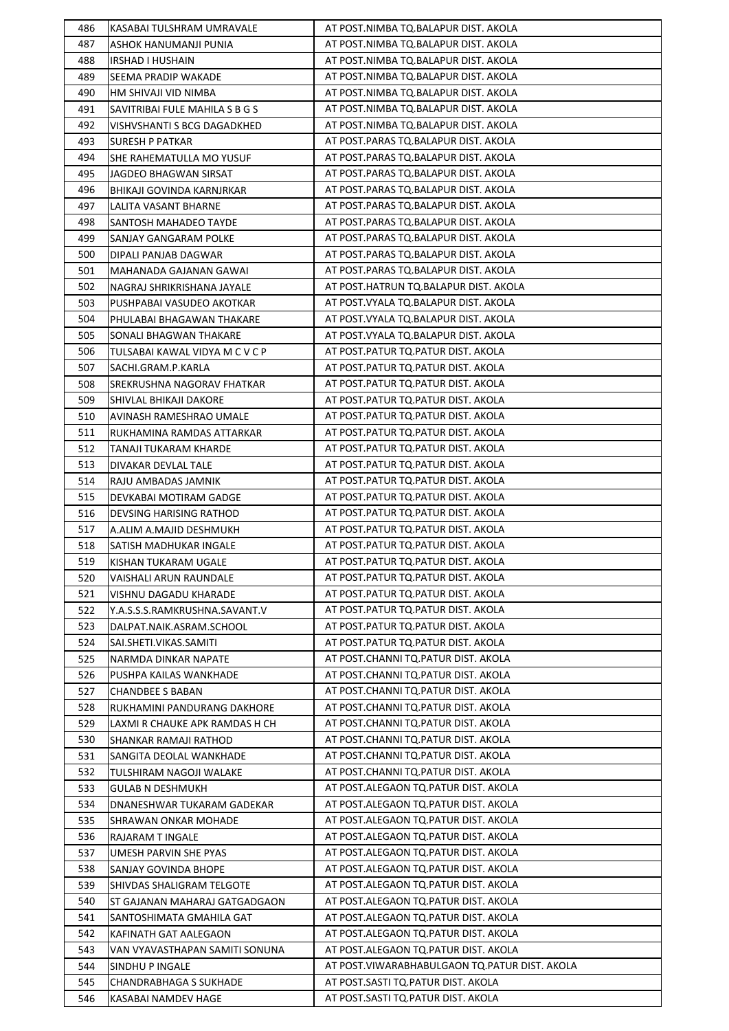| 486 | KASABAI TULSHRAM UMRAVALE                         | AT POST.NIMBA TQ.BALAPUR DIST. AKOLA            |
|-----|---------------------------------------------------|-------------------------------------------------|
| 487 | ASHOK HANUMANJI PUNIA                             | AT POST.NIMBA TQ.BALAPUR DIST. AKOLA            |
| 488 | <b>IRSHAD I HUSHAIN</b>                           | AT POST.NIMBA TQ.BALAPUR DIST. AKOLA            |
| 489 | SEEMA PRADIP WAKADE                               | AT POST.NIMBA TQ.BALAPUR DIST. AKOLA            |
| 490 | HM SHIVAJI VID NIMBA                              | AT POST.NIMBA TQ.BALAPUR DIST. AKOLA            |
| 491 | SAVITRIBAI FULE MAHILA S B G S                    | AT POST.NIMBA TQ.BALAPUR DIST. AKOLA            |
| 492 | VISHVSHANTI S BCG DAGADKHED                       | AT POST.NIMBA TQ.BALAPUR DIST. AKOLA            |
| 493 | <b>SURESH P PATKAR</b>                            | AT POST.PARAS TQ.BALAPUR DIST. AKOLA            |
| 494 | SHE RAHEMATULLA MO YUSUF                          | AT POST.PARAS TO.BALAPUR DIST. AKOLA            |
| 495 | JAGDEO BHAGWAN SIRSAT                             | AT POST.PARAS TQ.BALAPUR DIST. AKOLA            |
| 496 | BHIKAJI GOVINDA KARNJRKAR                         | AT POST.PARAS TQ.BALAPUR DIST. AKOLA            |
| 497 | LALITA VASANT BHARNE                              | AT POST.PARAS TQ.BALAPUR DIST. AKOLA            |
| 498 | SANTOSH MAHADEO TAYDE                             | AT POST.PARAS TQ.BALAPUR DIST. AKOLA            |
| 499 | SANJAY GANGARAM POLKE                             | AT POST.PARAS TQ.BALAPUR DIST. AKOLA            |
| 500 | DIPALI PANJAB DAGWAR                              | AT POST.PARAS TQ.BALAPUR DIST. AKOLA            |
| 501 | MAHANADA GAJANAN GAWAI                            | AT POST.PARAS TQ.BALAPUR DIST. AKOLA            |
| 502 | NAGRAJ SHRIKRISHANA JAYALE                        | AT POST.HATRUN TQ.BALAPUR DIST. AKOLA           |
| 503 | PUSHPABAI VASUDEO AKOTKAR                         | AT POST. VYALA TQ. BALAPUR DIST. AKOLA          |
| 504 | PHULABAI BHAGAWAN THAKARE                         | AT POST. VYALA TQ. BALAPUR DIST. AKOLA          |
| 505 | SONALI BHAGWAN THAKARE                            | AT POST.VYALA TQ.BALAPUR DIST. AKOLA            |
| 506 | TULSABAI KAWAL VIDYA M C V C P                    | AT POST.PATUR TQ.PATUR DIST. AKOLA              |
| 507 | SACHI.GRAM.P.KARLA                                | AT POST.PATUR TQ.PATUR DIST. AKOLA              |
| 508 | SREKRUSHNA NAGORAV FHATKAR                        | AT POST. PATUR TO. PATUR DIST. AKOLA            |
| 509 | SHIVLAL BHIKAJI DAKORE                            | AT POST.PATUR TQ.PATUR DIST. AKOLA              |
| 510 | AVINASH RAMESHRAO UMALE                           | AT POST.PATUR TQ.PATUR DIST. AKOLA              |
| 511 | RUKHAMINA RAMDAS ATTARKAR                         | AT POST.PATUR TQ.PATUR DIST. AKOLA              |
| 512 | TANAJI TUKARAM KHARDE                             | AT POST.PATUR TQ.PATUR DIST. AKOLA              |
| 513 | DIVAKAR DEVLAL TALE                               | AT POST. PATUR TO. PATUR DIST. AKOLA            |
| 514 | RAJU AMBADAS JAMNIK                               | AT POST.PATUR TQ.PATUR DIST. AKOLA              |
| 515 | DEVKABAI MOTIRAM GADGE                            | AT POST.PATUR TQ.PATUR DIST. AKOLA              |
| 516 | DEVSING HARISING RATHOD                           | AT POST.PATUR TQ.PATUR DIST. AKOLA              |
| 517 | A.ALIM A.MAJID DESHMUKH                           | AT POST.PATUR TQ.PATUR DIST. AKOLA              |
| 518 | SATISH MADHUKAR INGALE                            | AT POST. PATUR TO. PATUR DIST. AKOLA            |
| 519 | KISHAN TUKARAM UGALE                              | AT POST.PATUR TQ.PATUR DIST. AKOLA              |
| 520 | VAISHALI ARUN RAUNDALE                            | AT POST. PATUR TO. PATUR DIST. AKOLA            |
| 521 | VISHNU DAGADU KHARADE                             | AT POST.PATUR TQ.PATUR DIST. AKOLA              |
| 522 | Y.A.S.S.S.RAMKRUSHNA.SAVANT.V                     | AT POST.PATUR TQ.PATUR DIST. AKOLA              |
| 523 | DALPAT.NAIK.ASRAM.SCHOOL                          | AT POST.PATUR TQ.PATUR DIST. AKOLA              |
| 524 | SAI.SHETI.VIKAS.SAMITI                            | AT POST.PATUR TQ.PATUR DIST. AKOLA              |
| 525 | NARMDA DINKAR NAPATE                              | AT POST.CHANNI TQ.PATUR DIST. AKOLA             |
| 526 | PUSHPA KAILAS WANKHADE                            | AT POST.CHANNI TQ.PATUR DIST. AKOLA             |
| 527 | <b>CHANDBEE S BABAN</b>                           | AT POST.CHANNI TQ.PATUR DIST. AKOLA             |
| 528 | RUKHAMINI PANDURANG DAKHORE                       | AT POST.CHANNI TQ.PATUR DIST. AKOLA             |
| 529 | LAXMI R CHAUKE APK RAMDAS H CH                    | AT POST.CHANNI TQ.PATUR DIST. AKOLA             |
| 530 | SHANKAR RAMAJI RATHOD                             | AT POST.CHANNI TQ.PATUR DIST. AKOLA             |
| 531 | SANGITA DEOLAL WANKHADE                           | AT POST.CHANNI TQ.PATUR DIST. AKOLA             |
| 532 | TULSHIRAM NAGOJI WALAKE                           | AT POST.CHANNI TQ.PATUR DIST. AKOLA             |
| 533 | <b>GULAB N DESHMUKH</b>                           | AT POST.ALEGAON TQ.PATUR DIST. AKOLA            |
| 534 | DNANESHWAR TUKARAM GADEKAR                        | AT POST.ALEGAON TQ.PATUR DIST. AKOLA            |
| 535 | SHRAWAN ONKAR MOHADE                              | AT POST.ALEGAON TQ.PATUR DIST. AKOLA            |
| 536 | RAJARAM T INGALE                                  | AT POST.ALEGAON TQ.PATUR DIST. AKOLA            |
| 537 | UMESH PARVIN SHE PYAS                             | AT POST.ALEGAON TQ.PATUR DIST. AKOLA            |
| 538 | SANJAY GOVINDA BHOPE                              | AT POST.ALEGAON TQ.PATUR DIST. AKOLA            |
| 539 | SHIVDAS SHALIGRAM TELGOTE                         | AT POST.ALEGAON TQ.PATUR DIST. AKOLA            |
| 540 | ST GAJANAN MAHARAJ GATGADGAON                     | AT POST.ALEGAON TQ.PATUR DIST. AKOLA            |
| 541 |                                                   | AT POST.ALEGAON TQ.PATUR DIST. AKOLA            |
| 542 | SANTOSHIMATA GMAHILA GAT<br>KAFINATH GAT AALEGAON | AT POST.ALEGAON TQ.PATUR DIST. AKOLA            |
| 543 | VAN VYAVASTHAPAN SAMITI SONUNA                    | AT POST.ALEGAON TQ.PATUR DIST. AKOLA            |
| 544 | SINDHU P INGALE                                   | AT POST. VIWARABHABULGAON TQ. PATUR DIST. AKOLA |
| 545 | CHANDRABHAGA S SUKHADE                            | AT POST.SASTI TQ.PATUR DIST. AKOLA              |
| 546 | KASABAI NAMDEV HAGE                               | AT POST.SASTI TQ.PATUR DIST. AKOLA              |
|     |                                                   |                                                 |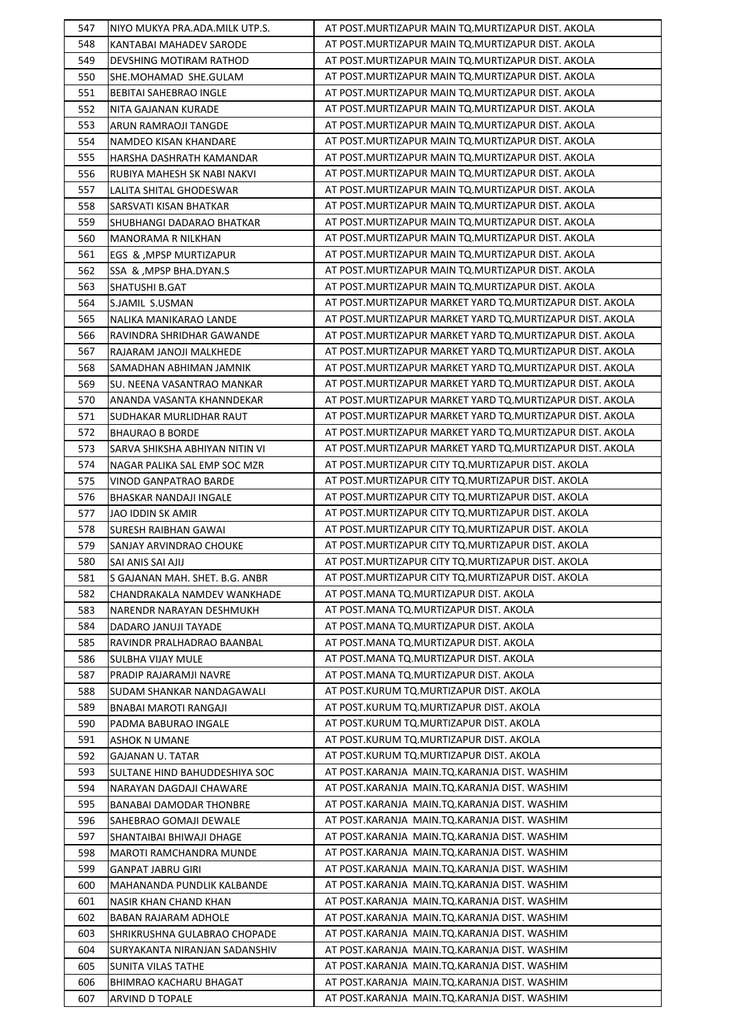| 547 | NIYO MUKYA PRA.ADA.MILK UTP.S. | AT POST.MURTIZAPUR MAIN TQ.MURTIZAPUR DIST. AKOLA          |
|-----|--------------------------------|------------------------------------------------------------|
| 548 | KANTABAI MAHADEV SARODE        | AT POST.MURTIZAPUR MAIN TQ.MURTIZAPUR DIST. AKOLA          |
| 549 | DEVSHING MOTIRAM RATHOD        | AT POST.MURTIZAPUR MAIN TQ.MURTIZAPUR DIST. AKOLA          |
| 550 | SHE.MOHAMAD SHE.GULAM          | AT POST. MURTIZAPUR MAIN TO. MURTIZAPUR DIST. AKOLA        |
| 551 | <b>BEBITAI SAHEBRAO INGLE</b>  | AT POST. MURTIZAPUR MAIN TO. MURTIZAPUR DIST. AKOLA        |
| 552 | NITA GAJANAN KURADE            | AT POST. MURTIZAPUR MAIN TO. MURTIZAPUR DIST. AKOLA        |
| 553 | ARUN RAMRAOJI TANGDE           | AT POST.MURTIZAPUR MAIN TQ.MURTIZAPUR DIST. AKOLA          |
| 554 | NAMDEO KISAN KHANDARE          | AT POST. MURTIZAPUR MAIN TO. MURTIZAPUR DIST. AKOLA        |
| 555 | HARSHA DASHRATH KAMANDAR       | AT POST. MURTIZAPUR MAIN TO. MURTIZAPUR DIST. AKOLA        |
| 556 | RUBIYA MAHESH SK NABI NAKVI    | AT POST. MURTIZAPUR MAIN TO. MURTIZAPUR DIST. AKOLA        |
| 557 | LALITA SHITAL GHODESWAR        | AT POST. MURTIZAPUR MAIN TQ. MURTIZAPUR DIST. AKOLA        |
| 558 | SARSVATI KISAN BHATKAR         | AT POST.MURTIZAPUR MAIN TQ.MURTIZAPUR DIST. AKOLA          |
| 559 | SHUBHANGI DADARAO BHATKAR      | AT POST.MURTIZAPUR MAIN TQ.MURTIZAPUR DIST. AKOLA          |
| 560 | MANORAMA R NILKHAN             | AT POST.MURTIZAPUR MAIN TQ.MURTIZAPUR DIST. AKOLA          |
| 561 | EGS & , MPSP MURTIZAPUR        | AT POST. MURTIZAPUR MAIN TO. MURTIZAPUR DIST. AKOLA        |
| 562 | SSA & , MPSP BHA.DYAN.S        | AT POST.MURTIZAPUR MAIN TQ.MURTIZAPUR DIST. AKOLA          |
| 563 | SHATUSHI B.GAT                 | AT POST.MURTIZAPUR MAIN TQ.MURTIZAPUR DIST. AKOLA          |
| 564 | S.JAMIL S.USMAN                | AT POST.MURTIZAPUR MARKET YARD TQ.MURTIZAPUR DIST. AKOLA   |
| 565 | NALIKA MANIKARAO LANDE         | AT POST. MURTIZAPUR MARKET YARD TQ. MURTIZAPUR DIST. AKOLA |
| 566 | RAVINDRA SHRIDHAR GAWANDE      | AT POST. MURTIZAPUR MARKET YARD TO. MURTIZAPUR DIST. AKOLA |
|     |                                |                                                            |
| 567 | RAJARAM JANOJI MALKHEDE        | AT POST.MURTIZAPUR MARKET YARD TQ.MURTIZAPUR DIST. AKOLA   |
| 568 | SAMADHAN ABHIMAN JAMNIK        | AT POST.MURTIZAPUR MARKET YARD TQ.MURTIZAPUR DIST. AKOLA   |
| 569 | SU. NEENA VASANTRAO MANKAR     | AT POST.MURTIZAPUR MARKET YARD TQ.MURTIZAPUR DIST. AKOLA   |
| 570 | ANANDA VASANTA KHANNDEKAR      | AT POST. MURTIZAPUR MARKET YARD TQ. MURTIZAPUR DIST. AKOLA |
| 571 | SUDHAKAR MURLIDHAR RAUT        | AT POST. MURTIZAPUR MARKET YARD TQ. MURTIZAPUR DIST. AKOLA |
| 572 | <b>BHAURAO B BORDE</b>         | AT POST.MURTIZAPUR MARKET YARD TQ.MURTIZAPUR DIST. AKOLA   |
| 573 | SARVA SHIKSHA ABHIYAN NITIN VI | AT POST.MURTIZAPUR MARKET YARD TQ.MURTIZAPUR DIST. AKOLA   |
| 574 | NAGAR PALIKA SAL EMP SOC MZR   | AT POST. MURTIZAPUR CITY TO. MURTIZAPUR DIST. AKOLA        |
| 575 | VINOD GANPATRAO BARDE          | AT POST. MURTIZAPUR CITY TO. MURTIZAPUR DIST. AKOLA        |
| 576 | BHASKAR NANDAJI INGALE         | AT POST. MURTIZAPUR CITY TO. MURTIZAPUR DIST. AKOLA        |
| 577 | JAO IDDIN SK AMIR              | AT POST. MURTIZAPUR CITY TO. MURTIZAPUR DIST. AKOLA        |
| 578 | SURESH RAIBHAN GAWAI           | AT POST.MURTIZAPUR CITY TQ.MURTIZAPUR DIST. AKOLA          |
| 579 | SANJAY ARVINDRAO CHOUKE        | AT POST. MURTIZAPUR CITY TO. MURTIZAPUR DIST. AKOLA        |
| 580 | SAI ANIS SAI AJIJ              | AT POST. MURTIZAPUR CITY TO. MURTIZAPUR DIST. AKOLA        |
| 581 | S GAJANAN MAH. SHET. B.G. ANBR | AT POST.MURTIZAPUR CITY TQ.MURTIZAPUR DIST. AKOLA          |
| 582 | CHANDRAKALA NAMDEV WANKHADE    | AT POST. MANA TQ. MURTIZAPUR DIST. AKOLA                   |
| 583 | NARENDR NARAYAN DESHMUKH       | AT POST.MANA TQ.MURTIZAPUR DIST. AKOLA                     |
| 584 | DADARO JANUJI TAYADE           | AT POST.MANA TQ.MURTIZAPUR DIST. AKOLA                     |
| 585 | RAVINDR PRALHADRAO BAANBAL     | AT POST. MANA TQ. MURTIZAPUR DIST. AKOLA                   |
| 586 | SULBHA VIJAY MULE              | AT POST.MANA TQ.MURTIZAPUR DIST. AKOLA                     |
| 587 | PRADIP RAJARAMJI NAVRE         | AT POST.MANA TQ.MURTIZAPUR DIST. AKOLA                     |
| 588 | SUDAM SHANKAR NANDAGAWALI      | AT POST.KURUM TQ.MURTIZAPUR DIST. AKOLA                    |
| 589 | <b>BNABAI MAROTI RANGAJI</b>   | AT POST.KURUM TQ.MURTIZAPUR DIST. AKOLA                    |
| 590 | PADMA BABURAO INGALE           | AT POST.KURUM TQ.MURTIZAPUR DIST. AKOLA                    |
| 591 | <b>ASHOK N UMANE</b>           | AT POST.KURUM TQ.MURTIZAPUR DIST. AKOLA                    |
| 592 | <b>GAJANAN U. TATAR</b>        | AT POST.KURUM TQ.MURTIZAPUR DIST. AKOLA                    |
| 593 | SULTANE HIND BAHUDDESHIYA SOC  | AT POST.KARANJA MAIN.TQ.KARANJA DIST. WASHIM               |
| 594 | NARAYAN DAGDAJI CHAWARE        | AT POST.KARANJA MAIN.TQ.KARANJA DIST. WASHIM               |
| 595 | BANABAI DAMODAR THONBRE        | AT POST.KARANJA MAIN.TQ.KARANJA DIST. WASHIM               |
| 596 | SAHEBRAO GOMAJI DEWALE         | AT POST.KARANJA MAIN.TQ.KARANJA DIST. WASHIM               |
| 597 | SHANTAIBAI BHIWAJI DHAGE       | AT POST.KARANJA MAIN.TQ.KARANJA DIST. WASHIM               |
| 598 | MAROTI RAMCHANDRA MUNDE        | AT POST.KARANJA MAIN.TQ.KARANJA DIST. WASHIM               |
| 599 | GANPAT JABRU GIRI              | AT POST.KARANJA MAIN.TQ.KARANJA DIST. WASHIM               |
| 600 | MAHANANDA PUNDLIK KALBANDE     | AT POST.KARANJA MAIN.TQ.KARANJA DIST. WASHIM               |
| 601 | <b>NASIR KHAN CHAND KHAN</b>   | AT POST.KARANJA MAIN.TQ.KARANJA DIST. WASHIM               |
| 602 | <b>BABAN RAJARAM ADHOLE</b>    | AT POST.KARANJA MAIN.TQ.KARANJA DIST. WASHIM               |
| 603 | SHRIKRUSHNA GULABRAO CHOPADE   | AT POST.KARANJA MAIN.TQ.KARANJA DIST. WASHIM               |
| 604 | SURYAKANTA NIRANJAN SADANSHIV  | AT POST.KARANJA MAIN.TQ.KARANJA DIST. WASHIM               |
| 605 | SUNITA VILAS TATHE             | AT POST.KARANJA MAIN.TQ.KARANJA DIST. WASHIM               |
| 606 | BHIMRAO KACHARU BHAGAT         | AT POST.KARANJA MAIN.TQ.KARANJA DIST. WASHIM               |
| 607 | ARVIND D TOPALE                | AT POST.KARANJA MAIN.TQ.KARANJA DIST. WASHIM               |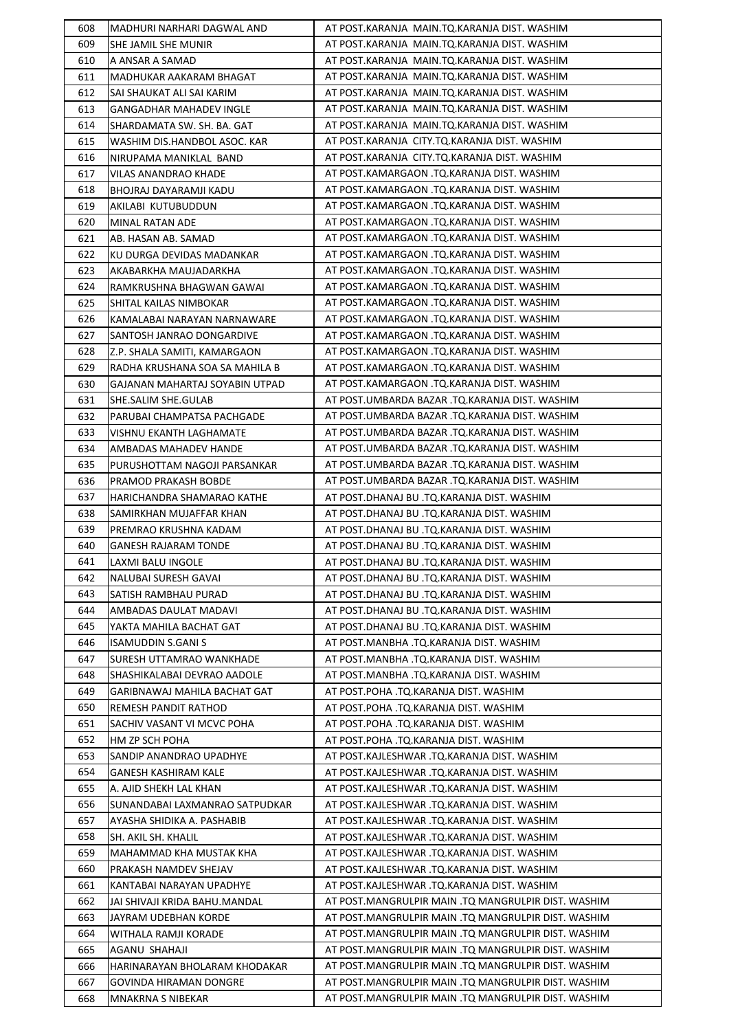| 608 | MADHURI NARHARI DAGWAL AND     | AT POST.KARANJA MAIN.TQ.KARANJA DIST. WASHIM        |
|-----|--------------------------------|-----------------------------------------------------|
| 609 | SHE JAMIL SHE MUNIR            | AT POST.KARANJA MAIN.TQ.KARANJA DIST. WASHIM        |
| 610 | A ANSAR A SAMAD                | AT POST.KARANJA MAIN.TQ.KARANJA DIST. WASHIM        |
| 611 | MADHUKAR AAKARAM BHAGAT        | AT POST.KARANJA MAIN.TQ.KARANJA DIST. WASHIM        |
| 612 | SAI SHAUKAT ALI SAI KARIM      | AT POST.KARANJA MAIN.TQ.KARANJA DIST. WASHIM        |
| 613 | <b>GANGADHAR MAHADEV INGLE</b> | AT POST.KARANJA MAIN.TQ.KARANJA DIST. WASHIM        |
| 614 | SHARDAMATA SW. SH. BA. GAT     | AT POST.KARANJA MAIN.TQ.KARANJA DIST. WASHIM        |
| 615 | WASHIM DIS.HANDBOL ASOC. KAR   | AT POST.KARANJA CITY.TQ.KARANJA DIST. WASHIM        |
| 616 | NIRUPAMA MANIKLAL BAND         | AT POST.KARANJA CITY.TQ.KARANJA DIST. WASHIM        |
| 617 | VILAS ANANDRAO KHADE           | AT POST.KAMARGAON .TQ.KARANJA DIST. WASHIM          |
| 618 | BHOJRAJ DAYARAMJI KADU         | AT POST.KAMARGAON .TQ.KARANJA DIST. WASHIM          |
| 619 | AKILABI KUTUBUDDUN             | AT POST.KAMARGAON .TQ.KARANJA DIST. WASHIM          |
| 620 | MINAL RATAN ADE                | AT POST.KAMARGAON .TQ.KARANJA DIST. WASHIM          |
| 621 | AB. HASAN AB. SAMAD            | AT POST.KAMARGAON .TQ.KARANJA DIST. WASHIM          |
| 622 | KU DURGA DEVIDAS MADANKAR      | AT POST.KAMARGAON .TQ.KARANJA DIST. WASHIM          |
| 623 | AKABARKHA MAUJADARKHA          | AT POST.KAMARGAON .TQ.KARANJA DIST. WASHIM          |
| 624 | RAMKRUSHNA BHAGWAN GAWAI       | AT POST.KAMARGAON .TQ.KARANJA DIST. WASHIM          |
| 625 | SHITAL KAILAS NIMBOKAR         | AT POST.KAMARGAON .TQ.KARANJA DIST. WASHIM          |
| 626 | KAMALABAI NARAYAN NARNAWARE    | AT POST.KAMARGAON .TQ.KARANJA DIST. WASHIM          |
| 627 | SANTOSH JANRAO DONGARDIVE      | AT POST.KAMARGAON .TQ.KARANJA DIST. WASHIM          |
| 628 | Z.P. SHALA SAMITI, KAMARGAON   | AT POST.KAMARGAON .TQ.KARANJA DIST. WASHIM          |
| 629 | RADHA KRUSHANA SOA SA MAHILA B | AT POST.KAMARGAON .TQ.KARANJA DIST. WASHIM          |
| 630 | GAJANAN MAHARTAJ SOYABIN UTPAD | AT POST.KAMARGAON .TQ.KARANJA DIST. WASHIM          |
| 631 |                                | AT POST.UMBARDA BAZAR .TQ.KARANJA DIST. WASHIM      |
|     | SHE.SALIM SHE.GULAB            | AT POST.UMBARDA BAZAR .TQ.KARANJA DIST. WASHIM      |
| 632 | PARUBAI CHAMPATSA PACHGADE     |                                                     |
| 633 | VISHNU EKANTH LAGHAMATE        | AT POST.UMBARDA BAZAR .TQ.KARANJA DIST. WASHIM      |
| 634 | AMBADAS MAHADEV HANDE          | AT POST.UMBARDA BAZAR .TQ.KARANJA DIST. WASHIM      |
| 635 | PURUSHOTTAM NAGOJI PARSANKAR   | AT POST.UMBARDA BAZAR .TQ.KARANJA DIST. WASHIM      |
| 636 | PRAMOD PRAKASH BOBDE           | AT POST.UMBARDA BAZAR .TQ.KARANJA DIST. WASHIM      |
| 637 | HARICHANDRA SHAMARAO KATHE     | AT POST.DHANAJ BU .TQ.KARANJA DIST. WASHIM          |
| 638 | SAMIRKHAN MUJAFFAR KHAN        | AT POST.DHANAJ BU .TQ.KARANJA DIST. WASHIM          |
| 639 | PREMRAO KRUSHNA KADAM          | AT POST.DHANAJ BU .TQ.KARANJA DIST. WASHIM          |
| 640 | GANESH RAJARAM TONDE           | AT POST.DHANAJ BU .TQ.KARANJA DIST. WASHIM          |
| 641 | LAXMI BALU INGOLE              | AT POST.DHANAJ BU .TQ.KARANJA DIST. WASHIM          |
| 642 | <b>NALUBAI SURESH GAVAI</b>    | AT POST.DHANAJ BU .TQ.KARANJA DIST. WASHIM          |
| 643 | SATISH RAMBHAU PURAD           | AT POST.DHANAJ BU .TQ.KARANJA DIST. WASHIM          |
| 644 | AMBADAS DAULAT MADAVI          | AT POST.DHANAJ BU .TO.KARANJA DIST. WASHIM          |
| 645 | YAKTA MAHILA BACHAT GAT        | AT POST.DHANAJ BU .TQ.KARANJA DIST. WASHIM          |
| 646 | <b>ISAMUDDIN S.GANI S</b>      | AT POST.MANBHA .TQ.KARANJA DIST. WASHIM             |
| 647 | SURESH UTTAMRAO WANKHADE       | AT POST.MANBHA .TQ.KARANJA DIST. WASHIM             |
| 648 | SHASHIKALABAI DEVRAO AADOLE    | AT POST.MANBHA .TQ.KARANJA DIST. WASHIM             |
| 649 | GARIBNAWAJ MAHILA BACHAT GAT   | AT POST.POHA .TQ.KARANJA DIST. WASHIM               |
| 650 | REMESH PANDIT RATHOD           | AT POST.POHA .TQ.KARANJA DIST. WASHIM               |
| 651 | SACHIV VASANT VI MCVC POHA     | AT POST.POHA .TQ.KARANJA DIST. WASHIM               |
| 652 | HM ZP SCH POHA                 | AT POST.POHA .TQ.KARANJA DIST. WASHIM               |
| 653 | SANDIP ANANDRAO UPADHYE        | AT POST.KAJLESHWAR .TQ.KARANJA DIST. WASHIM         |
| 654 | GANESH KASHIRAM KALE           | AT POST.KAJLESHWAR .TQ.KARANJA DIST. WASHIM         |
| 655 | A. AJID SHEKH LAL KHAN         | AT POST.KAJLESHWAR .TQ.KARANJA DIST. WASHIM         |
| 656 | SUNANDABAI LAXMANRAO SATPUDKAR | AT POST.KAJLESHWAR .TQ.KARANJA DIST. WASHIM         |
| 657 | AYASHA SHIDIKA A. PASHABIB     | AT POST.KAJLESHWAR .TQ.KARANJA DIST. WASHIM         |
| 658 | SH. AKIL SH. KHALIL            | AT POST.KAJLESHWAR .TQ.KARANJA DIST. WASHIM         |
| 659 | MAHAMMAD KHA MUSTAK KHA        | AT POST.KAJLESHWAR .TQ.KARANJA DIST. WASHIM         |
| 660 | PRAKASH NAMDEV SHEJAV          | AT POST.KAJLESHWAR .TQ.KARANJA DIST. WASHIM         |
| 661 | KANTABAI NARAYAN UPADHYE       | AT POST.KAJLESHWAR .TQ.KARANJA DIST. WASHIM         |
| 662 | JAI SHIVAJI KRIDA BAHU.MANDAL  | AT POST.MANGRULPIR MAIN .TQ MANGRULPIR DIST. WASHIM |
| 663 | JAYRAM UDEBHAN KORDE           | AT POST.MANGRULPIR MAIN .TQ MANGRULPIR DIST. WASHIM |
| 664 | WITHALA RAMJI KORADE           | AT POST.MANGRULPIR MAIN .TQ MANGRULPIR DIST. WASHIM |
| 665 | AGANU SHAHAJI                  | AT POST.MANGRULPIR MAIN .TQ MANGRULPIR DIST. WASHIM |
| 666 | HARINARAYAN BHOLARAM KHODAKAR  | AT POST.MANGRULPIR MAIN .TQ MANGRULPIR DIST. WASHIM |
| 667 | GOVINDA HIRAMAN DONGRE         | AT POST.MANGRULPIR MAIN .TQ MANGRULPIR DIST. WASHIM |
| 668 | <b>MNAKRNA S NIBEKAR</b>       | AT POST.MANGRULPIR MAIN .TQ MANGRULPIR DIST. WASHIM |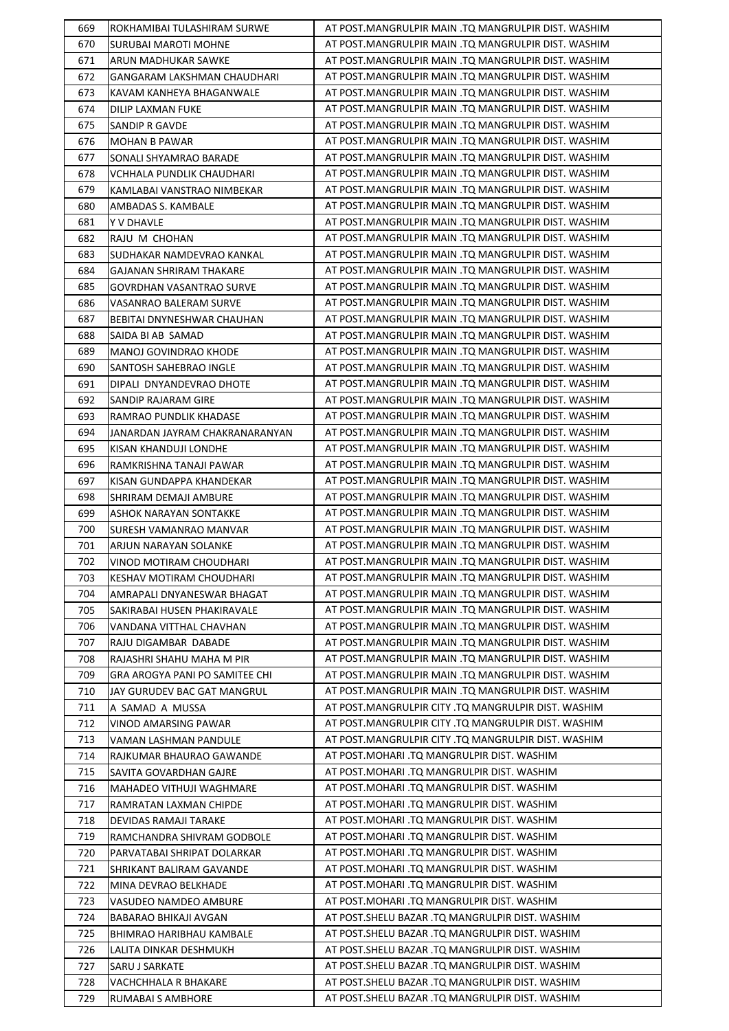| 669        | ROKHAMIBAI TULASHIRAM SURWE                     | AT POST.MANGRULPIR MAIN .TQ MANGRULPIR DIST. WASHIM                                       |
|------------|-------------------------------------------------|-------------------------------------------------------------------------------------------|
| 670        | SURUBAI MAROTI MOHNE                            | AT POST.MANGRULPIR MAIN .TQ MANGRULPIR DIST. WASHIM                                       |
| 671        | ARUN MADHUKAR SAWKE                             | AT POST.MANGRULPIR MAIN .TQ MANGRULPIR DIST. WASHIM                                       |
| 672        | GANGARAM LAKSHMAN CHAUDHARI                     | AT POST.MANGRULPIR MAIN .TQ MANGRULPIR DIST. WASHIM                                       |
| 673        | KAVAM KANHEYA BHAGANWALE                        | AT POST.MANGRULPIR MAIN .TO MANGRULPIR DIST. WASHIM                                       |
| 674        | DILIP LAXMAN FUKE                               | AT POST.MANGRULPIR MAIN .TQ MANGRULPIR DIST. WASHIM                                       |
| 675        | SANDIP R GAVDE                                  | AT POST.MANGRULPIR MAIN .TQ MANGRULPIR DIST. WASHIM                                       |
| 676        | <b>MOHAN B PAWAR</b>                            | AT POST. MANGRULPIR MAIN . TQ MANGRULPIR DIST. WASHIM                                     |
| 677        | SONALI SHYAMRAO BARADE                          | AT POST.MANGRULPIR MAIN .TQ MANGRULPIR DIST. WASHIM                                       |
| 678        | VCHHALA PUNDLIK CHAUDHARI                       | AT POST.MANGRULPIR MAIN .TO MANGRULPIR DIST. WASHIM                                       |
| 679        | KAMLABAI VANSTRAO NIMBEKAR                      | AT POST. MANGRULPIR MAIN . TQ MANGRULPIR DIST. WASHIM                                     |
| 680        | AMBADAS S. KAMBALE                              | AT POST.MANGRULPIR MAIN .TQ MANGRULPIR DIST. WASHIM                                       |
| 681        | Y V DHAVLE                                      | AT POST.MANGRULPIR MAIN .TQ MANGRULPIR DIST. WASHIM                                       |
| 682        | RAJU M CHOHAN                                   | AT POST.MANGRULPIR MAIN .TQ MANGRULPIR DIST. WASHIM                                       |
| 683        | SUDHAKAR NAMDEVRAO KANKAL                       | AT POST.MANGRULPIR MAIN .TQ MANGRULPIR DIST. WASHIM                                       |
| 684        | GAJANAN SHRIRAM THAKARE                         | AT POST.MANGRULPIR MAIN .TQ MANGRULPIR DIST. WASHIM                                       |
| 685        | GOVRDHAN VASANTRAO SURVE                        | AT POST.MANGRULPIR MAIN .TQ MANGRULPIR DIST. WASHIM                                       |
| 686        | VASANRAO BALERAM SURVE                          | AT POST.MANGRULPIR MAIN .TQ MANGRULPIR DIST. WASHIM                                       |
| 687        | BEBITAI DNYNESHWAR CHAUHAN                      | AT POST.MANGRULPIR MAIN .TQ MANGRULPIR DIST. WASHIM                                       |
| 688        | SAIDA BI AB SAMAD                               | AT POST.MANGRULPIR MAIN .TQ MANGRULPIR DIST. WASHIM                                       |
| 689        | MANOJ GOVINDRAO KHODE                           | AT POST.MANGRULPIR MAIN .TQ MANGRULPIR DIST. WASHIM                                       |
| 690        | SANTOSH SAHEBRAO INGLE                          | AT POST.MANGRULPIR MAIN .TQ MANGRULPIR DIST. WASHIM                                       |
| 691        | DIPALI DNYANDEVRAO DHOTE                        | AT POST.MANGRULPIR MAIN .TQ MANGRULPIR DIST. WASHIM                                       |
| 692        | SANDIP RAJARAM GIRE                             | AT POST.MANGRULPIR MAIN .TQ MANGRULPIR DIST. WASHIM                                       |
| 693        | RAMRAO PUNDLIK KHADASE                          | AT POST.MANGRULPIR MAIN .TQ MANGRULPIR DIST. WASHIM                                       |
| 694        | JANARDAN JAYRAM CHAKRANARANYAN                  | AT POST.MANGRULPIR MAIN .TQ MANGRULPIR DIST. WASHIM                                       |
| 695        | KISAN KHANDUJI LONDHE                           | AT POST.MANGRULPIR MAIN .TQ MANGRULPIR DIST. WASHIM                                       |
| 696        | RAMKRISHNA TANAJI PAWAR                         | AT POST.MANGRULPIR MAIN .TQ MANGRULPIR DIST. WASHIM                                       |
| 697        | KISAN GUNDAPPA KHANDEKAR                        | AT POST.MANGRULPIR MAIN .TQ MANGRULPIR DIST. WASHIM                                       |
| 698        | SHRIRAM DEMAJI AMBURE                           | AT POST.MANGRULPIR MAIN .TQ MANGRULPIR DIST. WASHIM                                       |
| 699        |                                                 | AT POST. MANGRULPIR MAIN . TQ MANGRULPIR DIST. WASHIM                                     |
| 700        | ASHOK NARAYAN SONTAKKE                          | AT POST.MANGRULPIR MAIN .TQ MANGRULPIR DIST. WASHIM                                       |
| 701        | SURESH VAMANRAO MANVAR<br>ARJUN NARAYAN SOLANKE | AT POST.MANGRULPIR MAIN .TO MANGRULPIR DIST. WASHIM                                       |
| 702        | VINOD MOTIRAM CHOUDHARI                         | AT POST.MANGRULPIR MAIN .TQ MANGRULPIR DIST. WASHIM                                       |
| 703        | <b>KESHAV MOTIRAM CHOUDHARI</b>                 | AT POST.MANGRULPIR MAIN .TQ MANGRULPIR DIST. WASHIM                                       |
| 704        |                                                 | AT POST.MANGRULPIR MAIN .TQ MANGRULPIR DIST. WASHIM                                       |
|            | AMRAPALI DNYANESWAR BHAGAT                      | AT POST.MANGRULPIR MAIN .TQ MANGRULPIR DIST. WASHIM                                       |
| 705<br>706 | SAKIRABAI HUSEN PHAKIRAVALE                     | AT POST.MANGRULPIR MAIN .TQ MANGRULPIR DIST. WASHIM                                       |
|            | VANDANA VITTHAL CHAVHAN                         | AT POST.MANGRULPIR MAIN .TO MANGRULPIR DIST. WASHIM                                       |
| 707        | RAJU DIGAMBAR DABADE                            |                                                                                           |
| 708        | RAJASHRI SHAHU MAHA M PIR                       | AT POST.MANGRULPIR MAIN .TQ MANGRULPIR DIST. WASHIM                                       |
| 709        | GRA AROGYA PANI PO SAMITEE CHI                  | AT POST.MANGRULPIR MAIN .TQ MANGRULPIR DIST. WASHIM                                       |
| 710        | JAY GURUDEV BAC GAT MANGRUL                     | AT POST.MANGRULPIR MAIN .TQ MANGRULPIR DIST. WASHIM                                       |
| 711        | A SAMAD A MUSSA                                 | AT POST. MANGRULPIR CITY .TQ MANGRULPIR DIST. WASHIM                                      |
| 712        | VINOD AMARSING PAWAR                            | AT POST.MANGRULPIR CITY .TQ MANGRULPIR DIST. WASHIM                                       |
| 713        | VAMAN LASHMAN PANDULE                           | AT POST. MANGRULPIR CITY . TQ MANGRULPIR DIST. WASHIM                                     |
| 714        | RAJKUMAR BHAURAO GAWANDE                        | AT POST.MOHARI .TQ MANGRULPIR DIST. WASHIM                                                |
| 715        | SAVITA GOVARDHAN GAJRE                          | AT POST.MOHARI .TQ MANGRULPIR DIST. WASHIM<br>AT POST. MOHARI .TQ MANGRULPIR DIST. WASHIM |
| 716        | MAHADEO VITHUJI WAGHMARE                        |                                                                                           |
| 717        | RAMRATAN LAXMAN CHIPDE                          | AT POST.MOHARI .TQ MANGRULPIR DIST. WASHIM                                                |
| 718        | DEVIDAS RAMAJI TARAKE                           | AT POST.MOHARI .TQ MANGRULPIR DIST. WASHIM                                                |
| 719        | RAMCHANDRA SHIVRAM GODBOLE                      | AT POST.MOHARI .TQ MANGRULPIR DIST. WASHIM                                                |
| 720        | PARVATABAI SHRIPAT DOLARKAR                     | AT POST.MOHARI .TQ MANGRULPIR DIST. WASHIM                                                |
| 721        | SHRIKANT BALIRAM GAVANDE                        | AT POST. MOHARI .TQ MANGRULPIR DIST. WASHIM                                               |
| 722        | MINA DEVRAO BELKHADE                            | AT POST. MOHARI .TQ MANGRULPIR DIST. WASHIM                                               |
| 723        | VASUDEO NAMDEO AMBURE                           | AT POST.MOHARI .TQ MANGRULPIR DIST. WASHIM                                                |
| 724        | BABARAO BHIKAJI AVGAN                           | AT POST.SHELU BAZAR .TQ MANGRULPIR DIST. WASHIM                                           |
| 725        | BHIMRAO HARIBHAU KAMBALE                        | AT POST.SHELU BAZAR .TQ MANGRULPIR DIST. WASHIM                                           |
| 726        | LALITA DINKAR DESHMUKH                          | AT POST.SHELU BAZAR .TQ MANGRULPIR DIST. WASHIM                                           |
| 727        | SARU J SARKATE                                  | AT POST.SHELU BAZAR .TQ MANGRULPIR DIST. WASHIM                                           |
| 728        | VACHCHHALA R BHAKARE                            | AT POST. SHELU BAZAR .TQ MANGRULPIR DIST. WASHIM                                          |
| 729        | RUMABAI S AMBHORE                               | AT POST. SHELU BAZAR .TQ MANGRULPIR DIST. WASHIM                                          |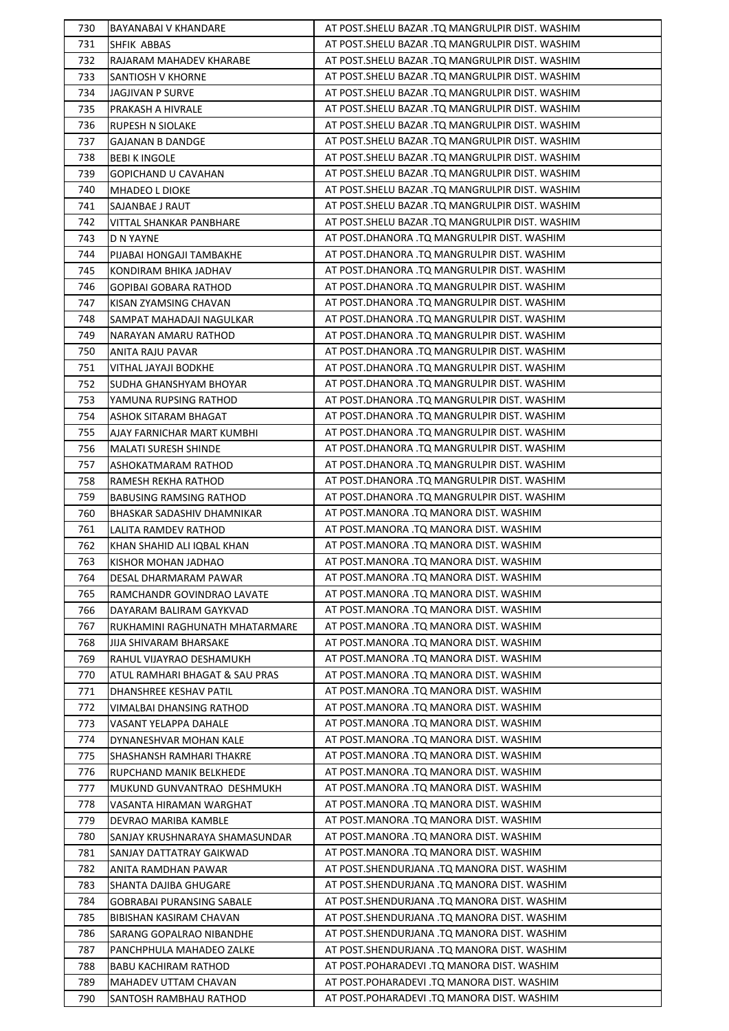| 730        | BAYANABAI V KHANDARE             | AT POST. SHELU BAZAR .TQ MANGRULPIR DIST. WASHIM                                       |
|------------|----------------------------------|----------------------------------------------------------------------------------------|
| 731        | SHFIK ABBAS                      | AT POST.SHELU BAZAR .TQ MANGRULPIR DIST. WASHIM                                        |
| 732        | RAJARAM MAHADEV KHARABE          | AT POST.SHELU BAZAR .TQ MANGRULPIR DIST. WASHIM                                        |
| 733        | SANTIOSH V KHORNE                | AT POST. SHELU BAZAR .TQ MANGRULPIR DIST. WASHIM                                       |
| 734        | JAGJIVAN P SURVE                 | AT POST.SHELU BAZAR .TQ MANGRULPIR DIST. WASHIM                                        |
| 735        | PRAKASH A HIVRALE                | AT POST.SHELU BAZAR .TQ MANGRULPIR DIST. WASHIM                                        |
| 736        | RUPESH N SIOLAKE                 | AT POST.SHELU BAZAR .TQ MANGRULPIR DIST. WASHIM                                        |
| 737        | <b>GAJANAN B DANDGE</b>          | AT POST.SHELU BAZAR .TQ MANGRULPIR DIST. WASHIM                                        |
| 738        | <b>BEBI K INGOLE</b>             | AT POST. SHELU BAZAR .TQ MANGRULPIR DIST. WASHIM                                       |
| 739        | <b>GOPICHAND U CAVAHAN</b>       | AT POST. SHELU BAZAR .TQ MANGRULPIR DIST. WASHIM                                       |
| 740        | <b>MHADEO L DIOKE</b>            | AT POST.SHELU BAZAR .TQ MANGRULPIR DIST. WASHIM                                        |
| 741        | SAJANBAE J RAUT                  | AT POST.SHELU BAZAR .TQ MANGRULPIR DIST. WASHIM                                        |
| 742        | VITTAL SHANKAR PANBHARE          | AT POST.SHELU BAZAR .TQ MANGRULPIR DIST. WASHIM                                        |
| 743        | D N YAYNE                        | AT POST.DHANORA .TQ MANGRULPIR DIST. WASHIM                                            |
| 744        | PIJABAI HONGAJI TAMBAKHE         | AT POST.DHANORA .TQ MANGRULPIR DIST. WASHIM                                            |
| 745        | KONDIRAM BHIKA JADHAV            | AT POST.DHANORA .TQ MANGRULPIR DIST. WASHIM                                            |
| 746        | <b>GOPIBAI GOBARA RATHOD</b>     | AT POST.DHANORA .TQ MANGRULPIR DIST. WASHIM                                            |
| 747        | KISAN ZYAMSING CHAVAN            | AT POST.DHANORA .TQ MANGRULPIR DIST. WASHIM                                            |
| 748        | SAMPAT MAHADAJI NAGULKAR         | AT POST.DHANORA .TQ MANGRULPIR DIST. WASHIM                                            |
| 749        | NARAYAN AMARU RATHOD             | AT POST.DHANORA .TQ MANGRULPIR DIST. WASHIM                                            |
| 750        | ANITA RAJU PAVAR                 | AT POST.DHANORA .TQ MANGRULPIR DIST. WASHIM                                            |
| 751        | VITHAL JAYAJI BODKHE             | AT POST.DHANORA .TQ MANGRULPIR DIST. WASHIM                                            |
| 752        | SUDHA GHANSHYAM BHOYAR           | AT POST.DHANORA .TQ MANGRULPIR DIST. WASHIM                                            |
| 753        | YAMUNA RUPSING RATHOD            | AT POST.DHANORA .TQ MANGRULPIR DIST. WASHIM                                            |
| 754        |                                  | AT POST.DHANORA .TQ MANGRULPIR DIST. WASHIM                                            |
| 755        | ASHOK SITARAM BHAGAT             | AT POST.DHANORA .TQ MANGRULPIR DIST. WASHIM                                            |
|            | AJAY FARNICHAR MART KUMBHI       | AT POST.DHANORA .TQ MANGRULPIR DIST. WASHIM                                            |
| 756<br>757 | <b>MALATI SURESH SHINDE</b>      | AT POST.DHANORA .TQ MANGRULPIR DIST. WASHIM                                            |
| 758        | ASHOKATMARAM RATHOD              | AT POST.DHANORA .TQ MANGRULPIR DIST. WASHIM                                            |
|            | RAMESH REKHA RATHOD              | AT POST.DHANORA .TQ MANGRULPIR DIST. WASHIM                                            |
| 759        | BABUSING RAMSING RATHOD          |                                                                                        |
| 760        | BHASKAR SADASHIV DHAMNIKAR       | AT POST.MANORA .TQ MANORA DIST. WASHIM<br>AT POST.MANORA .TQ MANORA DIST. WASHIM       |
| 761<br>762 | LALITA RAMDEV RATHOD             | AT POST.MANORA .TQ MANORA DIST. WASHIM                                                 |
|            | KHAN SHAHID ALI IQBAL KHAN       | AT POST.MANORA .TQ MANORA DIST. WASHIM                                                 |
| 763        | KISHOR MOHAN JADHAO              | AT POST.MANORA .TQ MANORA DIST. WASHIM                                                 |
| 764        | DESAL DHARMARAM PAWAR            | AT POST.MANORA .TQ MANORA DIST. WASHIM                                                 |
| 765        | RAMCHANDR GOVINDRAO LAVATE       | AT POST.MANORA .TQ MANORA DIST. WASHIM                                                 |
| 766<br>767 | DAYARAM BALIRAM GAYKVAD          |                                                                                        |
|            | RUKHAMINI RAGHUNATH MHATARMARE   | AT POST.MANORA .TQ MANORA DIST. WASHIM                                                 |
| 768        | JIJA SHIVARAM BHARSAKE           | AT POST.MANORA .TQ MANORA DIST. WASHIM                                                 |
| 769        | RAHUL VIJAYRAO DESHAMUKH         | AT POST.MANORA .TQ MANORA DIST. WASHIM                                                 |
| 770        | ATUL RAMHARI BHAGAT & SAU PRAS   | AT POST.MANORA .TQ MANORA DIST. WASHIM                                                 |
| 771        | DHANSHREE KESHAV PATIL           | AT POST.MANORA .TQ MANORA DIST. WASHIM                                                 |
| 772        | VIMALBAI DHANSING RATHOD         | AT POST.MANORA .TQ MANORA DIST. WASHIM<br>AT POST.MANORA .TQ MANORA DIST. WASHIM       |
| 773        | VASANT YELAPPA DAHALE            |                                                                                        |
| 774        | DYNANESHVAR MOHAN KALE           | AT POST.MANORA .TQ MANORA DIST. WASHIM                                                 |
| 775        | SHASHANSH RAMHARI THAKRE         | AT POST.MANORA .TQ MANORA DIST. WASHIM                                                 |
| 776        | RUPCHAND MANIK BELKHEDE          | AT POST.MANORA .TQ MANORA DIST. WASHIM<br>AT POST.MANORA .TQ MANORA DIST. WASHIM       |
| 777        | MUKUND GUNVANTRAO DESHMUKH       |                                                                                        |
| 778        | VASANTA HIRAMAN WARGHAT          | AT POST.MANORA .TQ MANORA DIST. WASHIM                                                 |
| 779        | DEVRAO MARIBA KAMBLE             | AT POST.MANORA .TQ MANORA DIST. WASHIM                                                 |
| 780        | SANJAY KRUSHNARAYA SHAMASUNDAR   | AT POST.MANORA .TQ MANORA DIST. WASHIM                                                 |
| 781        | SANJAY DATTATRAY GAIKWAD         | AT POST.MANORA .TQ MANORA DIST. WASHIM<br>AT POST. SHENDURJANA .TQ MANORA DIST. WASHIM |
| 782        | ANITA RAMDHAN PAWAR              |                                                                                        |
| 783        | SHANTA DAJIBA GHUGARE            | AT POST.SHENDURJANA .TQ MANORA DIST. WASHIM                                            |
| 784        | <b>GOBRABAI PURANSING SABALE</b> | AT POST.SHENDURJANA .TQ MANORA DIST. WASHIM                                            |
| 785        | BIBISHAN KASIRAM CHAVAN          | AT POST.SHENDURJANA .TQ MANORA DIST. WASHIM                                            |
| 786        | SARANG GOPALRAO NIBANDHE         | AT POST.SHENDURJANA .TQ MANORA DIST. WASHIM                                            |
| 787        | PANCHPHULA MAHADEO ZALKE         | AT POST.SHENDURJANA .TQ MANORA DIST. WASHIM                                            |
| 788        | BABU KACHIRAM RATHOD             | AT POST.POHARADEVI .TQ MANORA DIST. WASHIM                                             |
| 789        | MAHADEV UTTAM CHAVAN             | AT POST.POHARADEVI .TQ MANORA DIST. WASHIM                                             |
| 790        | SANTOSH RAMBHAU RATHOD           | AT POST.POHARADEVI .TQ MANORA DIST. WASHIM                                             |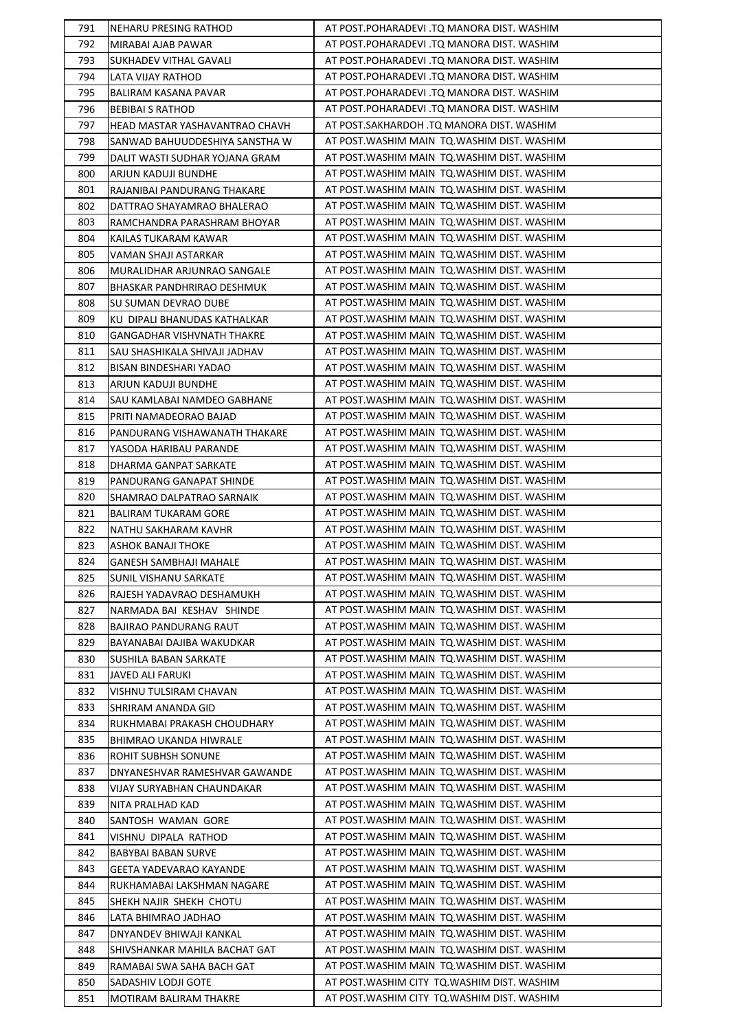| 791 | <b>NEHARU PRESING RATHOD</b>   | AT POST.POHARADEVI .TQ MANORA DIST. WASHIM   |
|-----|--------------------------------|----------------------------------------------|
| 792 | MIRABAI AJAB PAWAR             | AT POST.POHARADEVI .TQ MANORA DIST. WASHIM   |
| 793 | <b>SUKHADEV VITHAL GAVALI</b>  | AT POST.POHARADEVI .TQ MANORA DIST. WASHIM   |
| 794 | LATA VIJAY RATHOD              | AT POST.POHARADEVI .TQ MANORA DIST. WASHIM   |
| 795 | BALIRAM KASANA PAVAR           | AT POST.POHARADEVI .TQ MANORA DIST. WASHIM   |
| 796 | <b>BEBIBAI S RATHOD</b>        | AT POST.POHARADEVI .TQ MANORA DIST. WASHIM   |
| 797 | HEAD MASTAR YASHAVANTRAO CHAVH | AT POST.SAKHARDOH .TQ MANORA DIST. WASHIM    |
| 798 | SANWAD BAHUUDDESHIYA SANSTHA W | AT POST.WASHIM MAIN TQ.WASHIM DIST. WASHIM   |
| 799 | DALIT WASTI SUDHAR YOJANA GRAM | AT POST. WASHIM MAIN TO. WASHIM DIST. WASHIM |
| 800 | ARJUN KADUJI BUNDHE            | AT POST. WASHIM MAIN TO. WASHIM DIST. WASHIM |
| 801 | RAJANIBAI PANDURANG THAKARE    | AT POST. WASHIM MAIN TO. WASHIM DIST. WASHIM |
| 802 | DATTRAO SHAYAMRAO BHALERAO     | AT POST. WASHIM MAIN TQ. WASHIM DIST. WASHIM |
| 803 | RAMCHANDRA PARASHRAM BHOYAR    | AT POST.WASHIM MAIN TQ.WASHIM DIST. WASHIM   |
| 804 | KAILAS TUKARAM KAWAR           | AT POST. WASHIM MAIN TO. WASHIM DIST. WASHIM |
| 805 | VAMAN SHAJI ASTARKAR           | AT POST. WASHIM MAIN TQ. WASHIM DIST. WASHIM |
| 806 | MURALIDHAR ARJUNRAO SANGALE    | AT POST. WASHIM MAIN TQ. WASHIM DIST. WASHIM |
| 807 | BHASKAR PANDHRIRAO DESHMUK     | AT POST. WASHIM MAIN TQ. WASHIM DIST. WASHIM |
| 808 | SU SUMAN DEVRAO DUBE           | AT POST. WASHIM MAIN TQ. WASHIM DIST. WASHIM |
| 809 | KU DIPALI BHANUDAS KATHALKAR   | AT POST. WASHIM MAIN TO. WASHIM DIST. WASHIM |
| 810 | GANGADHAR VISHVNATH THAKRE     | AT POST. WASHIM MAIN TQ. WASHIM DIST. WASHIM |
| 811 | SAU SHASHIKALA SHIVAJI JADHAV  | AT POST. WASHIM MAIN TQ. WASHIM DIST. WASHIM |
| 812 | BISAN BINDESHARI YADAO         | AT POST. WASHIM MAIN TQ. WASHIM DIST. WASHIM |
| 813 |                                | AT POST. WASHIM MAIN TQ. WASHIM DIST. WASHIM |
| 814 | ARJUN KADUJI BUNDHE            | AT POST. WASHIM MAIN TO. WASHIM DIST. WASHIM |
|     | SAU KAMLABAI NAMDEO GABHANE    |                                              |
| 815 | PRITI NAMADEORAO BAJAD         | AT POST. WASHIM MAIN TQ. WASHIM DIST. WASHIM |
| 816 | PANDURANG VISHAWANATH THAKARE  | AT POST. WASHIM MAIN TQ. WASHIM DIST. WASHIM |
| 817 | YASODA HARIBAU PARANDE         | AT POST. WASHIM MAIN TQ. WASHIM DIST. WASHIM |
| 818 | DHARMA GANPAT SARKATE          | AT POST. WASHIM MAIN TQ. WASHIM DIST. WASHIM |
| 819 | PANDURANG GANAPAT SHINDE       | AT POST. WASHIM MAIN TO. WASHIM DIST. WASHIM |
| 820 | SHAMRAO DALPATRAO SARNAIK      | AT POST. WASHIM MAIN TQ. WASHIM DIST. WASHIM |
| 821 | <b>BALIRAM TUKARAM GORE</b>    | AT POST. WASHIM MAIN TO. WASHIM DIST. WASHIM |
| 822 | NATHU SAKHARAM KAVHR           | AT POST. WASHIM MAIN TO. WASHIM DIST. WASHIM |
| 823 | ASHOK BANAJI THOKE             | AT POST. WASHIM MAIN TQ. WASHIM DIST. WASHIM |
| 824 | <b>GANESH SAMBHAJI MAHALE</b>  | AT POST. WASHIM MAIN TO. WASHIM DIST. WASHIM |
| 825 | <b>SUNIL VISHANU SARKATE</b>   | AT POST. WASHIM MAIN TO. WASHIM DIST. WASHIM |
| 826 | RAJESH YADAVRAO DESHAMUKH      | AT POST. WASHIM MAIN TO. WASHIM DIST. WASHIM |
| 827 | NARMADA BAI KESHAV SHINDE      | AT POST. WASHIM MAIN TO. WASHIM DIST. WASHIM |
| 828 | BAJIRAO PANDURANG RAUT         | AT POST. WASHIM MAIN TO. WASHIM DIST. WASHIM |
| 829 | BAYANABAI DAJIBA WAKUDKAR      | AT POST. WASHIM MAIN TO. WASHIM DIST. WASHIM |
| 830 | SUSHILA BABAN SARKATE          | AT POST. WASHIM MAIN TO. WASHIM DIST. WASHIM |
| 831 | <b>JAVED ALI FARUKI</b>        | AT POST. WASHIM MAIN TQ. WASHIM DIST. WASHIM |
| 832 | VISHNU TULSIRAM CHAVAN         | AT POST. WASHIM MAIN TQ. WASHIM DIST. WASHIM |
| 833 | SHRIRAM ANANDA GID             | AT POST. WASHIM MAIN TO. WASHIM DIST. WASHIM |
| 834 | RUKHMABAI PRAKASH CHOUDHARY    | AT POST. WASHIM MAIN TO. WASHIM DIST. WASHIM |
| 835 | BHIMRAO UKANDA HIWRALE         | AT POST. WASHIM MAIN TO. WASHIM DIST. WASHIM |
| 836 | ROHIT SUBHSH SONUNE            | AT POST. WASHIM MAIN TQ. WASHIM DIST. WASHIM |
| 837 | DNYANESHVAR RAMESHVAR GAWANDE  | AT POST. WASHIM MAIN TQ. WASHIM DIST. WASHIM |
| 838 | VIJAY SURYABHAN CHAUNDAKAR     | AT POST. WASHIM MAIN TO. WASHIM DIST. WASHIM |
| 839 | NITA PRALHAD KAD               | AT POST. WASHIM MAIN TO. WASHIM DIST. WASHIM |
| 840 | SANTOSH WAMAN GORE             | AT POST. WASHIM MAIN TQ. WASHIM DIST. WASHIM |
| 841 | VISHNU DIPALA RATHOD           | AT POST. WASHIM MAIN TQ. WASHIM DIST. WASHIM |
| 842 | <b>BABYBAI BABAN SURVE</b>     | AT POST. WASHIM MAIN TQ. WASHIM DIST. WASHIM |
| 843 | GEETA YADEVARAO KAYANDE        | AT POST. WASHIM MAIN TO. WASHIM DIST. WASHIM |
| 844 | RUKHAMABAI LAKSHMAN NAGARE     | AT POST. WASHIM MAIN TO. WASHIM DIST. WASHIM |
| 845 | SHEKH NAJIR SHEKH CHOTU        | AT POST. WASHIM MAIN TO. WASHIM DIST. WASHIM |
| 846 | LATA BHIMRAO JADHAO            | AT POST. WASHIM MAIN TO. WASHIM DIST. WASHIM |
| 847 | DNYANDEV BHIWAJI KANKAL        | AT POST. WASHIM MAIN TQ. WASHIM DIST. WASHIM |
| 848 | SHIVSHANKAR MAHILA BACHAT GAT  | AT POST. WASHIM MAIN TQ. WASHIM DIST. WASHIM |
| 849 | RAMABAI SWA SAHA BACH GAT      | AT POST. WASHIM MAIN TO. WASHIM DIST. WASHIM |
| 850 | SADASHIV LODJI GOTE            | AT POST. WASHIM CITY TO. WASHIM DIST. WASHIM |
| 851 | MOTIRAM BALIRAM THAKRE         | AT POST. WASHIM CITY TO. WASHIM DIST. WASHIM |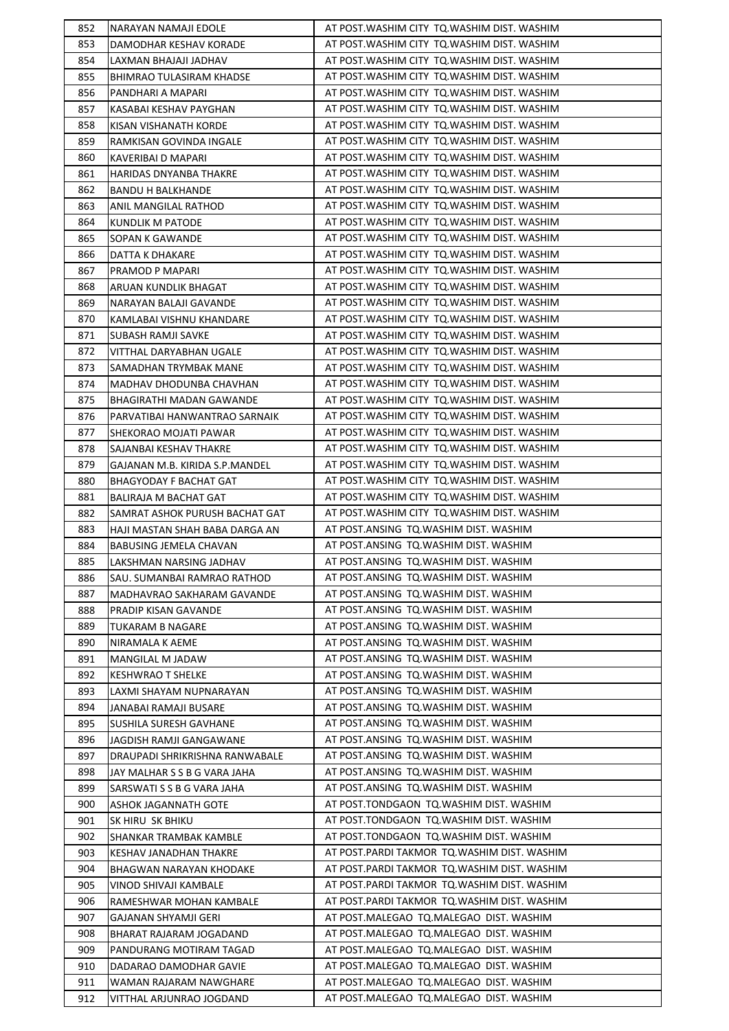| 852        | NARAYAN NAMAJI EDOLE                                      | AT POST. WASHIM CITY TO. WASHIM DIST. WASHIM                                       |
|------------|-----------------------------------------------------------|------------------------------------------------------------------------------------|
| 853        | DAMODHAR KESHAV KORADE                                    | AT POST. WASHIM CITY TO. WASHIM DIST. WASHIM                                       |
| 854        | LAXMAN BHAJAJI JADHAV                                     | AT POST. WASHIM CITY TQ. WASHIM DIST. WASHIM                                       |
| 855        | BHIMRAO TULASIRAM KHADSE                                  | AT POST. WASHIM CITY TQ. WASHIM DIST. WASHIM                                       |
| 856        | PANDHARI A MAPARI                                         | AT POST. WASHIM CITY TQ. WASHIM DIST. WASHIM                                       |
| 857        | KASABAI KESHAV PAYGHAN                                    | AT POST. WASHIM CITY TQ. WASHIM DIST. WASHIM                                       |
| 858        | KISAN VISHANATH KORDE                                     | AT POST. WASHIM CITY TQ. WASHIM DIST. WASHIM                                       |
| 859        | RAMKISAN GOVINDA INGALE                                   | AT POST. WASHIM CITY TO. WASHIM DIST. WASHIM                                       |
| 860        | KAVERIBAI D MAPARI                                        | AT POST. WASHIM CITY TQ. WASHIM DIST. WASHIM                                       |
| 861        | HARIDAS DNYANBA THAKRE                                    | AT POST. WASHIM CITY TO. WASHIM DIST. WASHIM                                       |
| 862        | <b>BANDU H BALKHANDE</b>                                  | AT POST. WASHIM CITY TQ. WASHIM DIST. WASHIM                                       |
| 863        | ANIL MANGILAL RATHOD                                      | AT POST. WASHIM CITY TQ. WASHIM DIST. WASHIM                                       |
| 864        | KUNDLIK M PATODE                                          | AT POST. WASHIM CITY TQ. WASHIM DIST. WASHIM                                       |
| 865        | SOPAN K GAWANDE                                           | AT POST. WASHIM CITY TQ. WASHIM DIST. WASHIM                                       |
| 866        | DATTA K DHAKARE                                           | AT POST. WASHIM CITY TQ. WASHIM DIST. WASHIM                                       |
| 867        | PRAMOD P MAPARI                                           | AT POST. WASHIM CITY TQ. WASHIM DIST. WASHIM                                       |
| 868        | ARUAN KUNDLIK BHAGAT                                      | AT POST. WASHIM CITY TQ. WASHIM DIST. WASHIM                                       |
| 869        | NARAYAN BALAJI GAVANDE                                    | AT POST. WASHIM CITY TO. WASHIM DIST. WASHIM                                       |
| 870        | KAMLABAI VISHNU KHANDARE                                  | AT POST. WASHIM CITY TQ. WASHIM DIST. WASHIM                                       |
| 871        | SUBASH RAMJI SAVKE                                        | AT POST. WASHIM CITY TQ. WASHIM DIST. WASHIM                                       |
| 872        | VITTHAL DARYABHAN UGALE                                   | AT POST. WASHIM CITY TQ. WASHIM DIST. WASHIM                                       |
| 873        | SAMADHAN TRYMBAK MANE                                     | AT POST. WASHIM CITY TQ. WASHIM DIST. WASHIM                                       |
| 874        | MADHAV DHODUNBA CHAVHAN                                   | AT POST. WASHIM CITY TQ. WASHIM DIST. WASHIM                                       |
| 875        | BHAGIRATHI MADAN GAWANDE                                  | AT POST. WASHIM CITY TQ. WASHIM DIST. WASHIM                                       |
| 876        | PARVATIBAI HANWANTRAO SARNAIK                             | AT POST. WASHIM CITY TQ. WASHIM DIST. WASHIM                                       |
| 877        | SHEKORAO MOJATI PAWAR                                     | AT POST. WASHIM CITY TQ. WASHIM DIST. WASHIM                                       |
| 878        | SAJANBAI KESHAV THAKRE                                    | AT POST. WASHIM CITY TQ. WASHIM DIST. WASHIM                                       |
| 879        | GAJANAN M.B. KIRIDA S.P.MANDEL                            | AT POST. WASHIM CITY TQ. WASHIM DIST. WASHIM                                       |
| 880        | BHAGYODAY F BACHAT GAT                                    | AT POST. WASHIM CITY TQ. WASHIM DIST. WASHIM                                       |
| 881        | BALIRAJA M BACHAT GAT                                     | AT POST. WASHIM CITY TQ. WASHIM DIST. WASHIM                                       |
| 882        | SAMRAT ASHOK PURUSH BACHAT GAT                            | AT POST. WASHIM CITY TO. WASHIM DIST. WASHIM                                       |
| 883        | HAJI MASTAN SHAH BABA DARGA AN                            | AT POST.ANSING TQ.WASHIM DIST. WASHIM                                              |
| 884        | BABUSING JEMELA CHAVAN                                    | AT POST.ANSING TO.WASHIM DIST. WASHIM                                              |
| 885        | LAKSHMAN NARSING JADHAV                                   | AT POST.ANSING TQ.WASHIM DIST. WASHIM                                              |
| 886        | SAU. SUMANBAI RAMRAO RATHOD                               | AT POST.ANSING TQ.WASHIM DIST. WASHIM                                              |
| 887        | MADHAVRAO SAKHARAM GAVANDE                                | AT POST.ANSING TO.WASHIM DIST. WASHIM                                              |
| 888        | PRADIP KISAN GAVANDE                                      | AT POST.ANSING TO.WASHIM DIST. WASHIM                                              |
| 889        | <b>TUKARAM B NAGARE</b>                                   | AT POST.ANSING TQ.WASHIM DIST. WASHIM                                              |
| 890        | NIRAMALA K AEME                                           | AT POST.ANSING TQ.WASHIM DIST. WASHIM                                              |
| 891        | MANGILAL M JADAW                                          | AT POST.ANSING TQ.WASHIM DIST. WASHIM                                              |
| 892        | <b>KESHWRAO T SHELKE</b>                                  | AT POST.ANSING TQ.WASHIM DIST. WASHIM                                              |
| 893        | LAXMI SHAYAM NUPNARAYAN                                   | AT POST.ANSING TQ.WASHIM DIST. WASHIM                                              |
| 894        | JANABAI RAMAJI BUSARE                                     | AT POST.ANSING TQ.WASHIM DIST. WASHIM                                              |
| 895        | SUSHILA SURESH GAVHANE                                    | AT POST.ANSING TQ.WASHIM DIST. WASHIM                                              |
| 896        |                                                           | AT POST.ANSING TQ.WASHIM DIST. WASHIM                                              |
| 897        | JAGDISH RAMJI GANGAWANE<br>DRAUPADI SHRIKRISHNA RANWABALE | AT POST.ANSING TO.WASHIM DIST. WASHIM                                              |
| 898        | JAY MALHAR S S B G VARA JAHA                              | AT POST.ANSING TQ.WASHIM DIST. WASHIM                                              |
| 899        | SARSWATI S S B G VARA JAHA                                | AT POST.ANSING TQ.WASHIM DIST. WASHIM                                              |
|            |                                                           | AT POST.TONDGAON TQ.WASHIM DIST. WASHIM                                            |
| 900<br>901 | ASHOK JAGANNATH GOTE                                      | AT POST.TONDGAON TQ.WASHIM DIST. WASHIM                                            |
| 902        | SK HIRU SK BHIKU                                          | AT POST.TONDGAON TQ.WASHIM DIST. WASHIM                                            |
|            | SHANKAR TRAMBAK KAMBLE                                    | AT POST.PARDI TAKMOR TQ.WASHIM DIST. WASHIM                                        |
| 903<br>904 | KESHAV JANADHAN THAKRE<br>BHAGWAN NARAYAN KHODAKE         | AT POST. PARDI TAKMOR TQ. WASHIM DIST. WASHIM                                      |
|            |                                                           | AT POST. PARDI TAKMOR TQ. WASHIM DIST. WASHIM                                      |
| 905<br>906 | VINOD SHIVAJI KAMBALE                                     | AT POST. PARDI TAKMOR TQ. WASHIM DIST. WASHIM                                      |
| 907        | RAMESHWAR MOHAN KAMBALE                                   | AT POST.MALEGAO TQ.MALEGAO DIST. WASHIM                                            |
|            | GAJANAN SHYAMJI GERI                                      |                                                                                    |
| 908        | BHARAT RAJARAM JOGADAND                                   | AT POST.MALEGAO TQ.MALEGAO DIST. WASHIM                                            |
| 909        | PANDURANG MOTIRAM TAGAD                                   | AT POST.MALEGAO TQ.MALEGAO DIST. WASHIM<br>AT POST.MALEGAO TQ.MALEGAO DIST. WASHIM |
| 910        | DADARAO DAMODHAR GAVIE                                    | AT POST.MALEGAO TQ.MALEGAO DIST. WASHIM                                            |
| 911        | WAMAN RAJARAM NAWGHARE                                    |                                                                                    |
| 912        | VITTHAL ARJUNRAO JOGDAND                                  | AT POST.MALEGAO TQ.MALEGAO DIST. WASHIM                                            |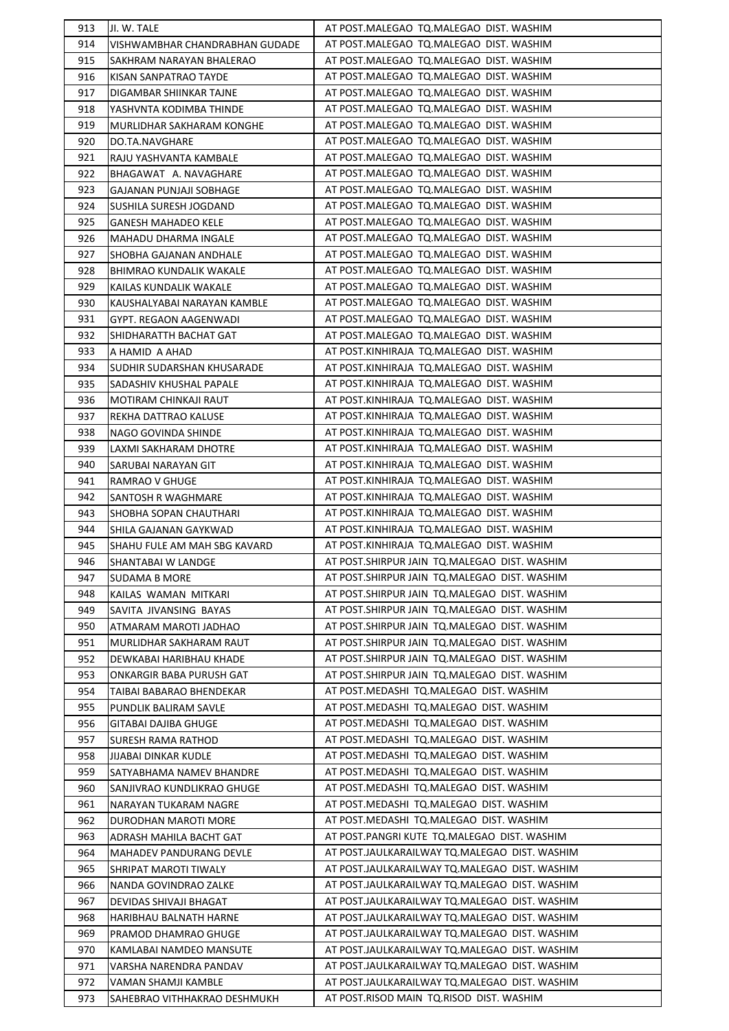| 913 | JI. W. TALE                    | AT POST.MALEGAO TQ.MALEGAO DIST. WASHIM        |
|-----|--------------------------------|------------------------------------------------|
| 914 | VISHWAMBHAR CHANDRABHAN GUDADE | AT POST.MALEGAO TQ.MALEGAO DIST. WASHIM        |
| 915 | SAKHRAM NARAYAN BHALERAO       | AT POST.MALEGAO TQ.MALEGAO DIST. WASHIM        |
| 916 | KISAN SANPATRAO TAYDE          | AT POST.MALEGAO TQ.MALEGAO DIST. WASHIM        |
| 917 | DIGAMBAR SHIINKAR TAJNE        | AT POST.MALEGAO TQ.MALEGAO DIST. WASHIM        |
| 918 | YASHVNTA KODIMBA THINDE        | AT POST.MALEGAO TQ.MALEGAO DIST. WASHIM        |
| 919 | MURLIDHAR SAKHARAM KONGHE      | AT POST.MALEGAO TQ.MALEGAO DIST. WASHIM        |
| 920 | DO.TA.NAVGHARE                 | AT POST.MALEGAO TQ.MALEGAO DIST. WASHIM        |
| 921 | RAJU YASHVANTA KAMBALE         | AT POST.MALEGAO TQ.MALEGAO DIST. WASHIM        |
| 922 | BHAGAWAT A. NAVAGHARE          | AT POST.MALEGAO TQ.MALEGAO DIST. WASHIM        |
| 923 | GAJANAN PUNJAJI SOBHAGE        | AT POST.MALEGAO TQ.MALEGAO DIST. WASHIM        |
| 924 | SUSHILA SURESH JOGDAND         | AT POST.MALEGAO TQ.MALEGAO DIST. WASHIM        |
| 925 | <b>GANESH MAHADEO KELE</b>     | AT POST.MALEGAO TQ.MALEGAO DIST. WASHIM        |
| 926 | MAHADU DHARMA INGALE           | AT POST.MALEGAO TQ.MALEGAO DIST. WASHIM        |
| 927 | SHOBHA GAJANAN ANDHALE         | AT POST.MALEGAO TQ.MALEGAO DIST. WASHIM        |
| 928 | BHIMRAO KUNDALIK WAKALE        | AT POST.MALEGAO TQ.MALEGAO DIST. WASHIM        |
| 929 | KAILAS KUNDALIK WAKALE         | AT POST.MALEGAO TQ.MALEGAO DIST. WASHIM        |
| 930 | KAUSHALYABAI NARAYAN KAMBLE    | AT POST.MALEGAO TQ.MALEGAO DIST. WASHIM        |
| 931 | GYPT. REGAON AAGENWADI         | AT POST.MALEGAO TQ.MALEGAO DIST. WASHIM        |
| 932 | SHIDHARATTH BACHAT GAT         | AT POST.MALEGAO TQ.MALEGAO DIST. WASHIM        |
| 933 | A HAMID A AHAD                 | AT POST.KINHIRAJA TQ.MALEGAO DIST. WASHIM      |
| 934 | SUDHIR SUDARSHAN KHUSARADE     | AT POST.KINHIRAJA TQ.MALEGAO DIST. WASHIM      |
| 935 | SADASHIV KHUSHAL PAPALE        | AT POST.KINHIRAJA TQ.MALEGAO DIST. WASHIM      |
| 936 | MOTIRAM CHINKAJI RAUT          | AT POST.KINHIRAJA TQ.MALEGAO DIST. WASHIM      |
| 937 | REKHA DATTRAO KALUSE           | AT POST.KINHIRAJA TQ.MALEGAO DIST. WASHIM      |
| 938 | NAGO GOVINDA SHINDE            | AT POST.KINHIRAJA TQ.MALEGAO DIST. WASHIM      |
| 939 | LAXMI SAKHARAM DHOTRE          | AT POST.KINHIRAJA TQ.MALEGAO DIST. WASHIM      |
| 940 | SARUBAI NARAYAN GIT            | AT POST.KINHIRAJA TQ.MALEGAO DIST. WASHIM      |
| 941 | RAMRAO V GHUGE                 | AT POST.KINHIRAJA TQ.MALEGAO DIST. WASHIM      |
| 942 | SANTOSH R WAGHMARE             | AT POST.KINHIRAJA TQ.MALEGAO DIST. WASHIM      |
| 943 | SHOBHA SOPAN CHAUTHARI         | AT POST.KINHIRAJA TQ.MALEGAO DIST. WASHIM      |
| 944 | SHILA GAJANAN GAYKWAD          | AT POST.KINHIRAJA TQ.MALEGAO DIST. WASHIM      |
| 945 | SHAHU FULE AM MAH SBG KAVARD   | AT POST.KINHIRAJA TQ.MALEGAO DIST. WASHIM      |
| 946 | SHANTABAI W LANDGE             | AT POST. SHIRPUR JAIN TO. MALEGAO DIST. WASHIM |
| 947 | SUDAMA B MORE                  | AT POST.SHIRPUR JAIN TQ.MALEGAO DIST. WASHIM   |
| 948 | KAILAS WAMAN MITKARI           | AT POST.SHIRPUR JAIN TQ.MALEGAO DIST. WASHIM   |
| 949 | SAVITA JIVANSING BAYAS         | AT POST.SHIRPUR JAIN TQ.MALEGAO DIST. WASHIM   |
| 950 | ATMARAM MAROTI JADHAO          | AT POST.SHIRPUR JAIN TQ.MALEGAO DIST. WASHIM   |
| 951 | MURLIDHAR SAKHARAM RAUT        | AT POST.SHIRPUR JAIN TQ.MALEGAO DIST. WASHIM   |
| 952 | DEWKABAI HARIBHAU KHADE        | AT POST. SHIRPUR JAIN TO. MALEGAO DIST. WASHIM |
| 953 | ONKARGIR BABA PURUSH GAT       | AT POST.SHIRPUR JAIN TQ.MALEGAO DIST. WASHIM   |
| 954 | TAIBAI BABARAO BHENDEKAR       | AT POST.MEDASHI TQ.MALEGAO DIST. WASHIM        |
| 955 | PUNDLIK BALIRAM SAVLE          | AT POST.MEDASHI TQ.MALEGAO DIST. WASHIM        |
| 956 | GITABAI DAJIBA GHUGE           | AT POST.MEDASHI TQ.MALEGAO DIST. WASHIM        |
| 957 | SURESH RAMA RATHOD             | AT POST.MEDASHI TQ.MALEGAO DIST. WASHIM        |
| 958 | JIJABAI DINKAR KUDLE           | AT POST.MEDASHI TQ.MALEGAO DIST. WASHIM        |
| 959 | SATYABHAMA NAMEV BHANDRE       | AT POST.MEDASHI TQ.MALEGAO DIST. WASHIM        |
| 960 | SANJIVRAO KUNDLIKRAO GHUGE     | AT POST.MEDASHI TQ.MALEGAO DIST. WASHIM        |
| 961 | NARAYAN TUKARAM NAGRE          | AT POST.MEDASHI TQ.MALEGAO DIST. WASHIM        |
| 962 | DURODHAN MAROTI MORE           | AT POST.MEDASHI TQ.MALEGAO DIST. WASHIM        |
| 963 | ADRASH MAHILA BACHT GAT        | AT POST.PANGRI KUTE TQ.MALEGAO DIST. WASHIM    |
| 964 | MAHADEV PANDURANG DEVLE        | AT POST.JAULKARAILWAY TQ.MALEGAO DIST. WASHIM  |
| 965 | SHRIPAT MAROTI TIWALY          | AT POST.JAULKARAILWAY TQ.MALEGAO DIST. WASHIM  |
| 966 | NANDA GOVINDRAO ZALKE          | AT POST.JAULKARAILWAY TQ.MALEGAO DIST. WASHIM  |
| 967 | DEVIDAS SHIVAJI BHAGAT         | AT POST.JAULKARAILWAY TQ.MALEGAO DIST. WASHIM  |
| 968 | HARIBHAU BALNATH HARNE         | AT POST.JAULKARAILWAY TQ.MALEGAO DIST. WASHIM  |
| 969 |                                | AT POST.JAULKARAILWAY TQ.MALEGAO DIST. WASHIM  |
| 970 | PRAMOD DHAMRAO GHUGE           | AT POST.JAULKARAILWAY TQ.MALEGAO DIST. WASHIM  |
| 971 | KAMLABAI NAMDEO MANSUTE        | AT POST.JAULKARAILWAY TQ.MALEGAO DIST. WASHIM  |
| 972 | VARSHA NARENDRA PANDAV         | AT POST.JAULKARAILWAY TO.MALEGAO DIST. WASHIM  |
|     | VAMAN SHAMJI KAMBLE            |                                                |
| 973 | SAHEBRAO VITHHAKRAO DESHMUKH   | AT POST.RISOD MAIN TQ.RISOD DIST. WASHIM       |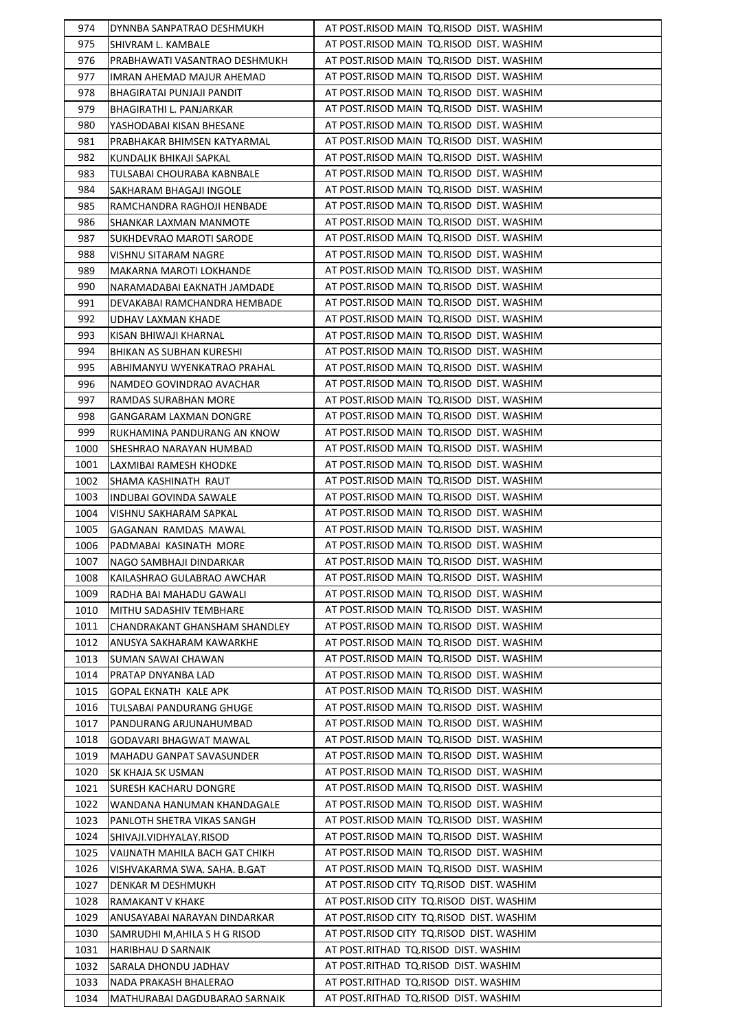| 974  | DYNNBA SANPATRAO DESHMUKH                                  | AT POST.RISOD MAIN TQ.RISOD DIST. WASHIM |
|------|------------------------------------------------------------|------------------------------------------|
| 975  | SHIVRAM L. KAMBALE                                         | AT POST.RISOD MAIN TQ.RISOD DIST. WASHIM |
| 976  | PRABHAWATI VASANTRAO DESHMUKH                              | AT POST.RISOD MAIN TQ.RISOD DIST. WASHIM |
| 977  | IMRAN AHEMAD MAJUR AHEMAD                                  | AT POST.RISOD MAIN TQ.RISOD DIST. WASHIM |
| 978  | BHAGIRATAI PUNJAJI PANDIT                                  | AT POST.RISOD MAIN TQ.RISOD DIST. WASHIM |
| 979  | BHAGIRATHI L. PANJARKAR                                    | AT POST.RISOD MAIN TQ.RISOD DIST. WASHIM |
| 980  | YASHODABAI KISAN BHESANE                                   | AT POST.RISOD MAIN TQ.RISOD DIST. WASHIM |
| 981  | PRABHAKAR BHIMSEN KATYARMAL                                | AT POST.RISOD MAIN TQ.RISOD DIST. WASHIM |
| 982  | KUNDALIK BHIKAJI SAPKAL                                    | AT POST.RISOD MAIN TQ.RISOD DIST. WASHIM |
| 983  | TULSABAI CHOURABA KABNBALE                                 | AT POST.RISOD MAIN TQ.RISOD DIST. WASHIM |
| 984  | SAKHARAM BHAGAJI INGOLE                                    | AT POST.RISOD MAIN TQ.RISOD DIST. WASHIM |
| 985  | RAMCHANDRA RAGHOJI HENBADE                                 | AT POST.RISOD MAIN TQ.RISOD DIST. WASHIM |
| 986  | SHANKAR LAXMAN MANMOTE                                     | AT POST.RISOD MAIN TQ.RISOD DIST. WASHIM |
| 987  | SUKHDEVRAO MAROTI SARODE                                   | AT POST.RISOD MAIN TQ.RISOD DIST. WASHIM |
| 988  | VISHNU SITARAM NAGRE                                       | AT POST.RISOD MAIN TO.RISOD DIST. WASHIM |
| 989  | MAKARNA MAROTI LOKHANDE                                    | AT POST.RISOD MAIN TQ.RISOD DIST. WASHIM |
| 990  | NARAMADABAI EAKNATH JAMDADE                                | AT POST.RISOD MAIN TQ.RISOD DIST. WASHIM |
| 991  | DEVAKABAI RAMCHANDRA HEMBADE                               | AT POST.RISOD MAIN TQ.RISOD DIST. WASHIM |
| 992  | UDHAV LAXMAN KHADE                                         | AT POST.RISOD MAIN TQ.RISOD DIST. WASHIM |
| 993  | KISAN BHIWAJI KHARNAL                                      | AT POST.RISOD MAIN TO.RISOD DIST. WASHIM |
| 994  | BHIKAN AS SUBHAN KURESHI                                   | AT POST.RISOD MAIN TQ.RISOD DIST. WASHIM |
| 995  | ABHIMANYU WYENKATRAO PRAHAL                                | AT POST.RISOD MAIN TQ.RISOD DIST. WASHIM |
| 996  | NAMDEO GOVINDRAO AVACHAR                                   | AT POST.RISOD MAIN TQ.RISOD DIST. WASHIM |
| 997  | RAMDAS SURABHAN MORE                                       | AT POST.RISOD MAIN TQ.RISOD DIST. WASHIM |
| 998  | <b>GANGARAM LAXMAN DONGRE</b>                              | AT POST.RISOD MAIN TQ.RISOD DIST. WASHIM |
| 999  | RUKHAMINA PANDURANG AN KNOW                                | AT POST.RISOD MAIN TQ.RISOD DIST. WASHIM |
| 1000 | SHESHRAO NARAYAN HUMBAD                                    | AT POST.RISOD MAIN TQ.RISOD DIST. WASHIM |
| 1001 | LAXMIBAI RAMESH KHODKE                                     | AT POST.RISOD MAIN TQ.RISOD DIST. WASHIM |
| 1002 | SHAMA KASHINATH RAUT                                       | AT POST.RISOD MAIN TQ.RISOD DIST. WASHIM |
| 1003 | INDUBAI GOVINDA SAWALE                                     | AT POST.RISOD MAIN TO.RISOD DIST. WASHIM |
| 1004 | VISHNU SAKHARAM SAPKAL                                     | AT POST.RISOD MAIN TQ.RISOD DIST. WASHIM |
| 1005 | GAGANAN RAMDAS MAWAL                                       | AT POST.RISOD MAIN TO.RISOD DIST. WASHIM |
| 1006 | PADMABAI KASINATH MORE                                     | AT POST.RISOD MAIN TQ.RISOD DIST. WASHIM |
| 1007 | NAGO SAMBHAJI DINDARKAR                                    | AT POST.RISOD MAIN TQ.RISOD DIST. WASHIM |
| 1008 | KAILASHRAO GULABRAO AWCHAR                                 | AT POST.RISOD MAIN TO.RISOD DIST. WASHIM |
| 1009 | RADHA BAI MAHADU GAWALI                                    | AT POST.RISOD MAIN TO.RISOD DIST. WASHIM |
| 1010 | MITHU SADASHIV TEMBHARE                                    | AT POST.RISOD MAIN TO.RISOD DIST. WASHIM |
| 1011 | CHANDRAKANT GHANSHAM SHANDLEY                              | AT POST.RISOD MAIN TO.RISOD DIST. WASHIM |
| 1012 | ANUSYA SAKHARAM KAWARKHE                                   | AT POST.RISOD MAIN TQ.RISOD DIST. WASHIM |
| 1013 | SUMAN SAWAI CHAWAN                                         | AT POST.RISOD MAIN TO.RISOD DIST. WASHIM |
| 1014 | PRATAP DNYANBA LAD                                         | AT POST.RISOD MAIN TO.RISOD DIST. WASHIM |
| 1015 | GOPAL EKNATH KALE APK                                      | AT POST.RISOD MAIN TQ.RISOD DIST. WASHIM |
| 1016 | TULSABAI PANDURANG GHUGE                                   | AT POST.RISOD MAIN TO.RISOD DIST. WASHIM |
| 1017 | PANDURANG ARJUNAHUMBAD                                     | AT POST.RISOD MAIN TO.RISOD DIST. WASHIM |
| 1018 | GODAVARI BHAGWAT MAWAL                                     | AT POST.RISOD MAIN TO.RISOD DIST. WASHIM |
| 1019 | MAHADU GANPAT SAVASUNDER                                   | AT POST.RISOD MAIN TO.RISOD DIST. WASHIM |
| 1020 | SK KHAJA SK USMAN                                          | AT POST.RISOD MAIN TQ.RISOD DIST. WASHIM |
| 1021 | <b>SURESH KACHARU DONGRE</b>                               | AT POST.RISOD MAIN TO.RISOD DIST. WASHIM |
| 1022 | WANDANA HANUMAN KHANDAGALE                                 | AT POST.RISOD MAIN TQ.RISOD DIST. WASHIM |
| 1023 | PANLOTH SHETRA VIKAS SANGH                                 | AT POST.RISOD MAIN TQ.RISOD DIST. WASHIM |
| 1024 | SHIVAJI.VIDHYALAY.RISOD                                    | AT POST.RISOD MAIN TO.RISOD DIST. WASHIM |
| 1025 | VAIJNATH MAHILA BACH GAT CHIKH                             | AT POST.RISOD MAIN TO.RISOD DIST. WASHIM |
| 1026 | VISHVAKARMA SWA. SAHA. B.GAT                               | AT POST.RISOD MAIN TO.RISOD DIST. WASHIM |
| 1027 | DENKAR M DESHMUKH                                          | AT POST.RISOD CITY TQ.RISOD DIST. WASHIM |
| 1028 |                                                            | AT POST.RISOD CITY TQ.RISOD DIST. WASHIM |
| 1029 | RAMAKANT V KHAKE<br>ANUSAYABAI NARAYAN DINDARKAR           | AT POST.RISOD CITY TQ.RISOD DIST. WASHIM |
| 1030 |                                                            | AT POST.RISOD CITY TQ.RISOD DIST. WASHIM |
| 1031 | SAMRUDHI M, AHILA S H G RISOD<br><b>HARIBHAU D SARNAIK</b> | AT POST.RITHAD TQ.RISOD DIST. WASHIM     |
| 1032 | SARALA DHONDU JADHAV                                       | AT POST.RITHAD TQ.RISOD DIST. WASHIM     |
| 1033 | NADA PRAKASH BHALERAO                                      | AT POST.RITHAD TQ.RISOD DIST. WASHIM     |
| 1034 | MATHURABAI DAGDUBARAO SARNAIK                              | AT POST.RITHAD TQ.RISOD DIST. WASHIM     |
|      |                                                            |                                          |